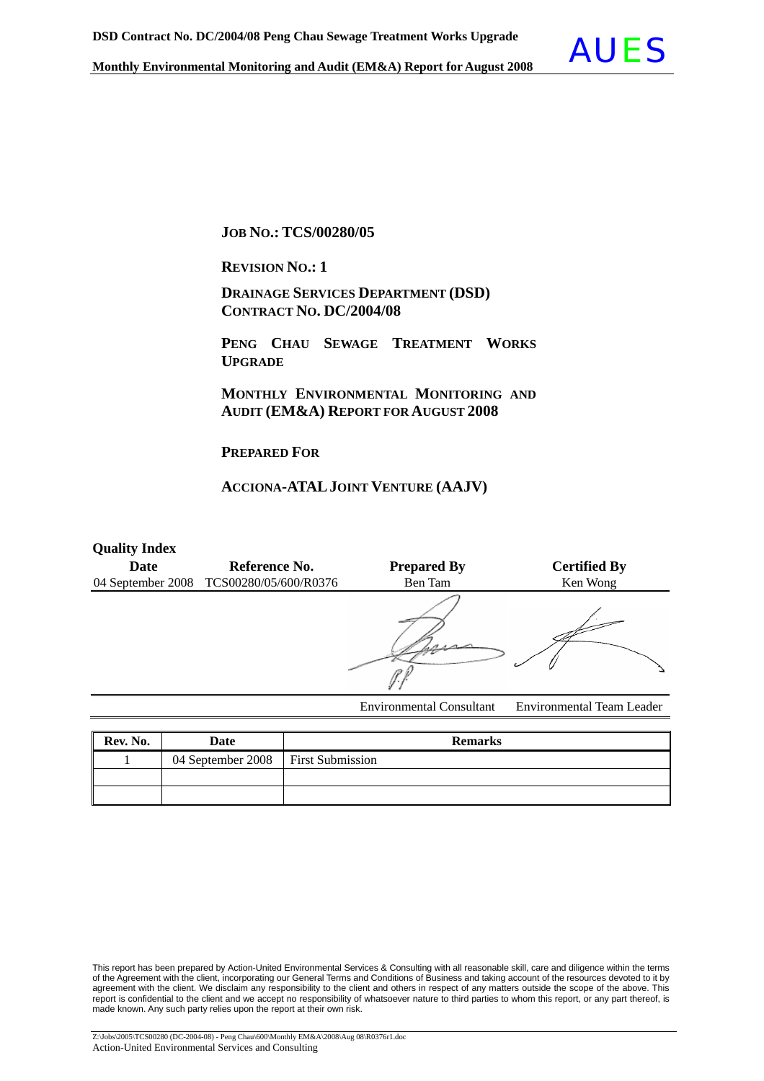

**JOB NO.: TCS/00280/05**

**REVISION NO.: <sup>1</sup>**

 **DRAINAGE SERVICES DEPARTMENT (DSD) CONTRACT NO. DC/2004/08**

 **PENG CHAU SEWAGE TREATMENT WORKS UPGRADE**

 **MONTHLY ENVIRONMENTAL MONITORING AND AUDIT (EM&A) REPORT FOR AUGUST 2008** 

**PREPARED FOR**

### **ACCIONA-ATALJOINT VENTURE (AAJV)**

| <b>Quality Index</b> |                                         |                                 |                                  |
|----------------------|-----------------------------------------|---------------------------------|----------------------------------|
| Date                 | Reference No.                           | <b>Prepared By</b>              | <b>Certified By</b>              |
|                      | 04 September 2008 TCS00280/05/600/R0376 | Ben Tam                         | Ken Wong                         |
|                      |                                         |                                 |                                  |
|                      |                                         | <b>Environmental Consultant</b> | <b>Environmental Team Leader</b> |

| Rev. No. | Date                                 | <b>Remarks</b> |
|----------|--------------------------------------|----------------|
|          | 04 September 2008   First Submission |                |
|          |                                      |                |
|          |                                      |                |

This report has been prepared by Action-United Environmental Services & Consulting with all reasonable skill, care and diligence within the terms of the Agreement with the client, incorporating our General Terms and Conditions of Business and taking account of the resources devoted to it by agreement with the client. We disclaim any responsibility to the client and others in respect of any matters outside the scope of the above. This report is confidential to the client and we accept no responsibility of whatsoever nature to third parties to whom this report, or any part thereof, is made known. Any such party relies upon the report at their own risk.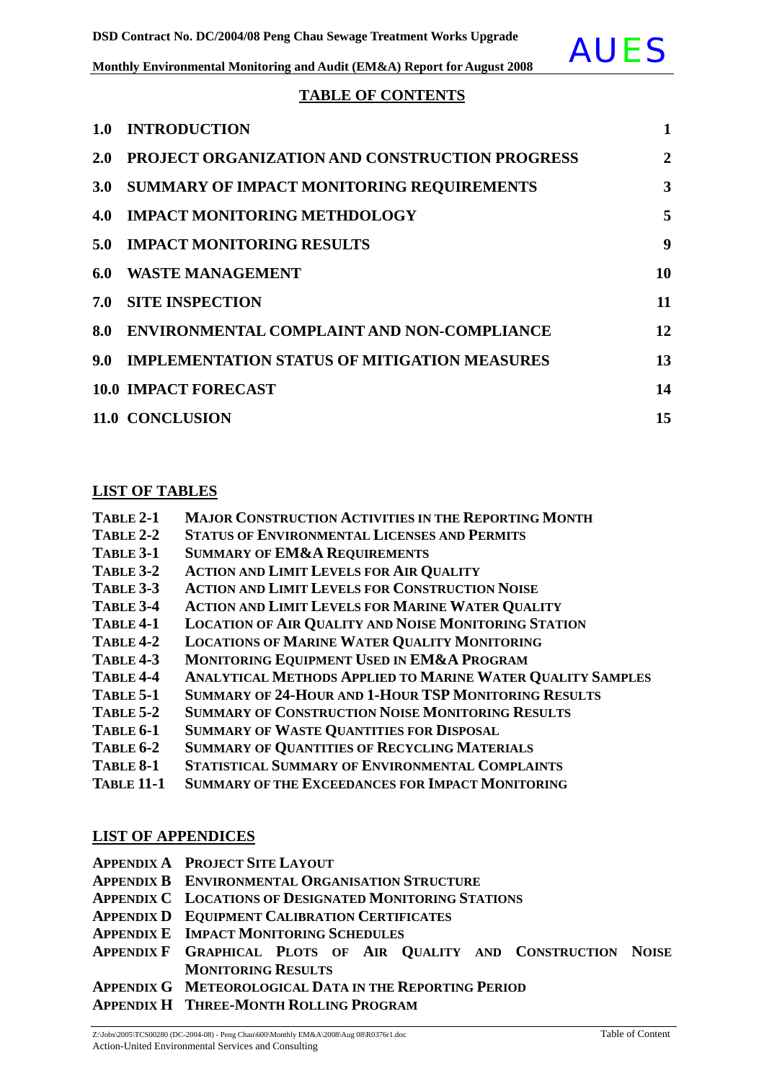

### **TABLE OF CONTENTS**

| 1.0           | <b>INTRODUCTION</b>                                   | $\mathbf{1}$   |
|---------------|-------------------------------------------------------|----------------|
| <b>2.0</b>    | <b>PROJECT ORGANIZATION AND CONSTRUCTION PROGRESS</b> | $\overline{2}$ |
| 3.0           | <b>SUMMARY OF IMPACT MONITORING REQUIREMENTS</b>      | 3              |
| 4.0           | <b>IMPACT MONITORING METHDOLOGY</b>                   | 5              |
| 5.0           | <b>IMPACT MONITORING RESULTS</b>                      | 9              |
| 6.0           | <b>WASTE MANAGEMENT</b>                               | 10             |
|               | <b>7.0 SITE INSPECTION</b>                            | 11             |
| 8.0           | ENVIRONMENTAL COMPLAINT AND NON-COMPLIANCE            | 12             |
| $9.0^{\circ}$ | <b>IMPLEMENTATION STATUS OF MITIGATION MEASURES</b>   | 13             |
|               | <b>10.0 IMPACT FORECAST</b>                           | 14             |
|               | 11.0 CONCLUSION                                       | 15             |

### **LIST OF TABLES**

| TABLE 2-1 | <b>MAJOR CONSTRUCTION ACTIVITIES IN THE REPORTING MONTH</b> |  |
|-----------|-------------------------------------------------------------|--|
|-----------|-------------------------------------------------------------|--|

- **TABLE 2-2 STATUS OF ENVIRONMENTAL LICENSES AND PERMITS**
- **TABLE 3-1 SUMMARY OF EM&A REQUIREMENTS**
- **TABLE 3-2 ACTION AND LIMIT LEVELS FOR AIR QUALITY**
- **TABLE 3-3 ACTION AND LIMIT LEVELS FOR CONSTRUCTION NOISE**
- **TABLE 3-4 ACTION AND LIMIT LEVELS FOR MARINE WATER QUALITY**
- **TABLE 4-1 LOCATION OF AIR QUALITY AND NOISE MONITORING STATION**
- **TABLE 4-2 LOCATIONS OF MARINE WATER QUALITY MONITORING**
- **TABLE 4-3 MONITORING EQUIPMENT USED IN EM&A PROGRAM**
- **TABLE 4-4 ANALYTICAL METHODS APPLIED TO MARINE WATER QUALITY SAMPLES**
- **TABLE 5-1 SUMMARY OF 24-HOUR AND 1-HOUR TSP MONITORING RESULTS**
- **TABLE 5-2 SUMMARY OF CONSTRUCTION NOISE MONITORING RESULTS**
- **TABLE 6-1 SUMMARY OF WASTE QUANTITIES FOR DISPOSAL**
- **TABLE 6-2 SUMMARY OF QUANTITIES OF RECYCLING MATERIALS**
- **TABLE 8-1 STATISTICAL SUMMARY OF ENVIRONMENTAL COMPLAINTS**
- **TABLE 11-1 SUMMARY OF THE EXCEEDANCES FOR IMPACT MONITORING**

### **LIST OF APPENDICES**

- **APPENDIX A PROJECT SITE LAYOUT**
- **APPENDIX B ENVIRONMENTAL ORGANISATION STRUCTURE**
- **APPENDIX C LOCATIONS OF DESIGNATED MONITORING STATIONS**
- **APPENDIX D EQUIPMENT CALIBRATION CERTIFICATES**
- **APPENDIX E IMPACT MONITORING SCHEDULES**
- **APPENDIX F GRAPHICAL PLOTS OF AIR QUALITY AND CONSTRUCTION NOISE MONITORING RESULTS**
- **APPENDIX G METEOROLOGICAL DATA IN THE REPORTING PERIOD**
- **APPENDIX H THREE-MONTH ROLLING PROGRAM**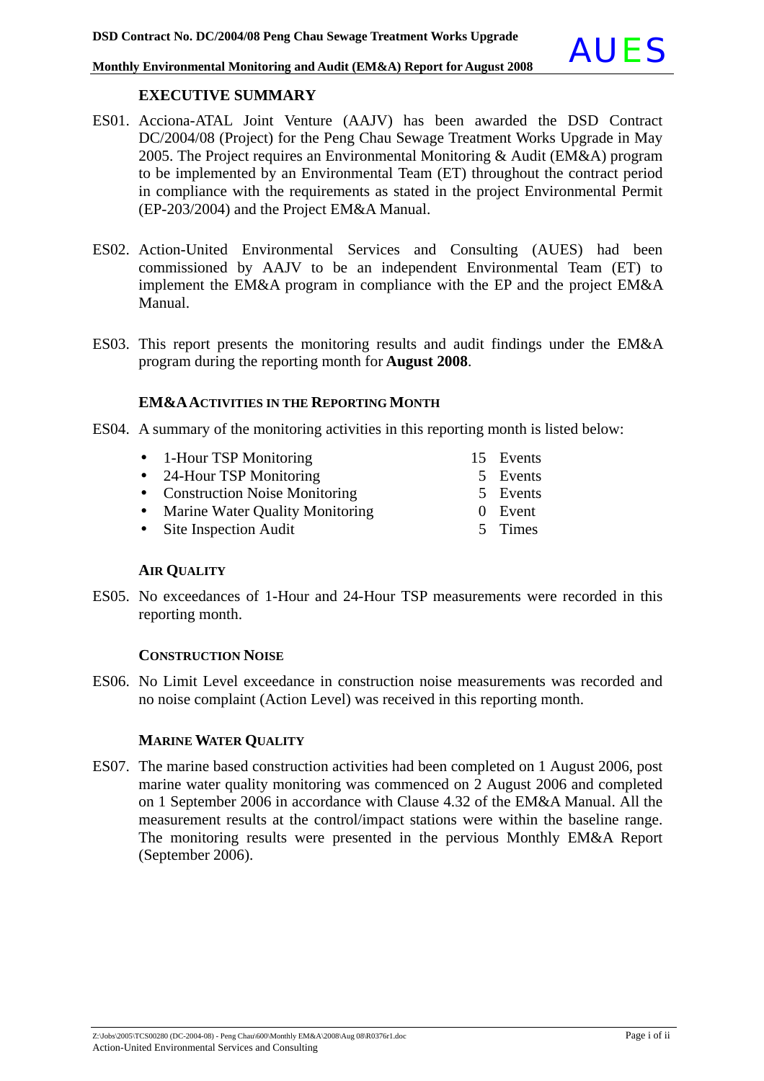### **EXECUTIVE SUMMARY**

- ES01. Acciona-ATAL Joint Venture (AAJV) has been awarded the DSD Contract DC/2004/08 (Project) for the Peng Chau Sewage Treatment Works Upgrade in May 2005. The Project requires an Environmental Monitoring & Audit (EM&A) program to be implemented by an Environmental Team (ET) throughout the contract period in compliance with the requirements as stated in the project Environmental Permit (EP-203/2004) and the Project EM&A Manual.
- ES02. Action-United Environmental Services and Consulting (AUES) had been commissioned by AAJV to be an independent Environmental Team (ET) to implement the EM&A program in compliance with the EP and the project EM&A Manual.
- ES03. This report presents the monitoring results and audit findings under the EM&A program during the reporting month for **August 2008**.

### **EM&AACTIVITIES IN THE REPORTING MONTH**

- ES04. A summary of the monitoring activities in this reporting month is listed below:
	- 1-Hour TSP Monitoring 15 Events
	- 24-Hour TSP Monitoring 5 Events
	- Construction Noise Monitoring 5 Events
	- Marine Water Quality Monitoring 0 Event
	- Site Inspection Audit 5 Times
- 
- 
- -

### **AIR QUALITY**

ES05. No exceedances of 1-Hour and 24-Hour TSP measurements were recorded in this reporting month.

### **CONSTRUCTION NOISE**

ES06. No Limit Level exceedance in construction noise measurements was recorded and no noise complaint (Action Level) was received in this reporting month.

### **MARINE WATER QUALITY**

ES07. The marine based construction activities had been completed on 1 August 2006, post marine water quality monitoring was commenced on 2 August 2006 and completed on 1 September 2006 in accordance with Clause 4.32 of the EM&A Manual. All the measurement results at the control/impact stations were within the baseline range. The monitoring results were presented in the pervious Monthly EM&A Report (September 2006).

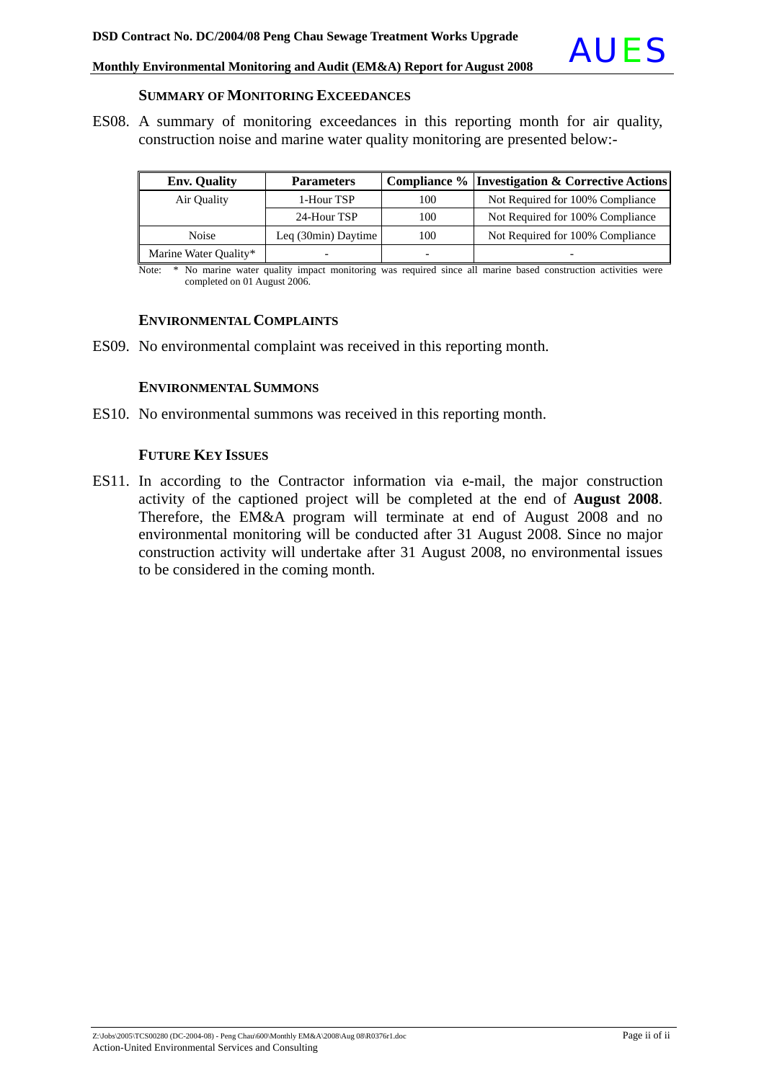

### **SUMMARY OF MONITORING EXCEEDANCES**

ES08. A summary of monitoring exceedances in this reporting month for air quality, construction noise and marine water quality monitoring are presented below:-

| <b>Env. Quality</b>   | <b>Parameters</b>   |                          | <b>Compliance % Investigation &amp; Corrective Actions</b> |
|-----------------------|---------------------|--------------------------|------------------------------------------------------------|
| Air Quality           | 1-Hour TSP          | 100                      | Not Required for 100% Compliance                           |
|                       | 24-Hour TSP         | 100                      | Not Required for 100% Compliance                           |
| Noise                 | Leq (30min) Daytime | 100                      | Not Required for 100% Compliance                           |
| Marine Water Quality* |                     | $\overline{\phantom{0}}$ |                                                            |

Note: \* No marine water quality impact monitoring was required since all marine based construction activities were completed on 01 August 2006.

### **ENVIRONMENTAL COMPLAINTS**

ES09. No environmental complaint was received in this reporting month.

### **ENVIRONMENTAL SUMMONS**

ES10. No environmental summons was received in this reporting month.

### **FUTURE KEY ISSUES**

ES11. In according to the Contractor information via e-mail, the major construction activity of the captioned project will be completed at the end of **August 2008**. Therefore, the EM&A program will terminate at end of August 2008 and no environmental monitoring will be conducted after 31 August 2008. Since no major construction activity will undertake after 31 August 2008, no environmental issues to be considered in the coming month.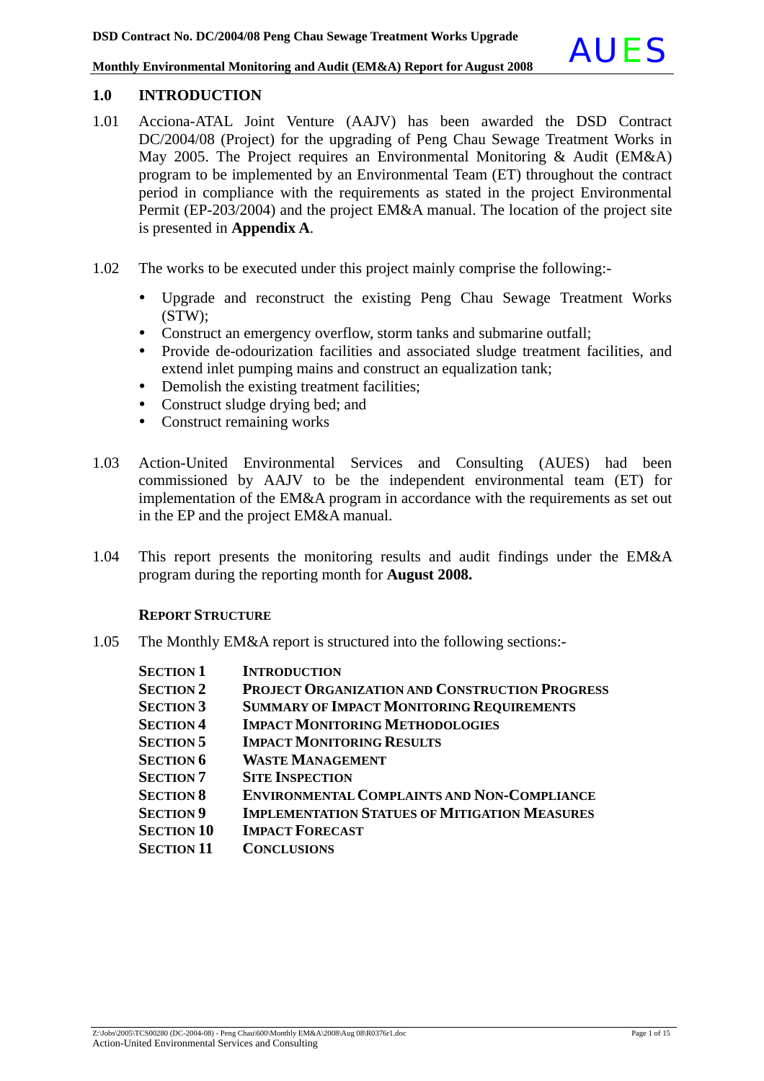### **1.0 INTRODUCTION**

- 1.01 Acciona-ATAL Joint Venture (AAJV) has been awarded the DSD Contract DC/2004/08 (Project) for the upgrading of Peng Chau Sewage Treatment Works in May 2005. The Project requires an Environmental Monitoring & Audit (EM&A) program to be implemented by an Environmental Team (ET) throughout the contract period in compliance with the requirements as stated in the project Environmental Permit (EP-203/2004) and the project EM&A manual. The location of the project site is presented in **Appendix A**.
- 1.02 The works to be executed under this project mainly comprise the following:
	- y Upgrade and reconstruct the existing Peng Chau Sewage Treatment Works (STW);
	- Construct an emergency overflow, storm tanks and submarine outfall;
	- Provide de-odourization facilities and associated sludge treatment facilities, and extend inlet pumping mains and construct an equalization tank;
	- Demolish the existing treatment facilities;
	- Construct sludge drying bed; and
	- Construct remaining works
- 1.03 Action-United Environmental Services and Consulting (AUES) had been commissioned by AAJV to be the independent environmental team (ET) for implementation of the EM&A program in accordance with the requirements as set out in the EP and the project EM&A manual.
- 1.04 This report presents the monitoring results and audit findings under the EM&A program during the reporting month for **August 2008.**

### **REPORT STRUCTURE**

1.05 The Monthly EM&A report is structured into the following sections:-

| <b>SECTION 1</b>  | <b>INTRODUCTION</b>                                   |
|-------------------|-------------------------------------------------------|
| <b>SECTION 2</b>  | <b>PROJECT ORGANIZATION AND CONSTRUCTION PROGRESS</b> |
| <b>SECTION 3</b>  | <b>SUMMARY OF IMPACT MONITORING REQUIREMENTS</b>      |
| <b>SECTION 4</b>  | <b>IMPACT MONITORING METHODOLOGIES</b>                |
| <b>SECTION 5</b>  | <b>IMPACT MONITORING RESULTS</b>                      |
| <b>SECTION 6</b>  | <b>WASTE MANAGEMENT</b>                               |
| <b>SECTION 7</b>  | <b>SITE INSPECTION</b>                                |
| <b>SECTION 8</b>  | <b>ENVIRONMENTAL COMPLAINTS AND NON-COMPLIANCE</b>    |
| <b>SECTION 9</b>  | <b>IMPLEMENTATION STATUES OF MITIGATION MEASURES</b>  |
| <b>SECTION 10</b> | <b>IMPACT FORECAST</b>                                |
| <b>SECTION 11</b> | <b>CONCLUSIONS</b>                                    |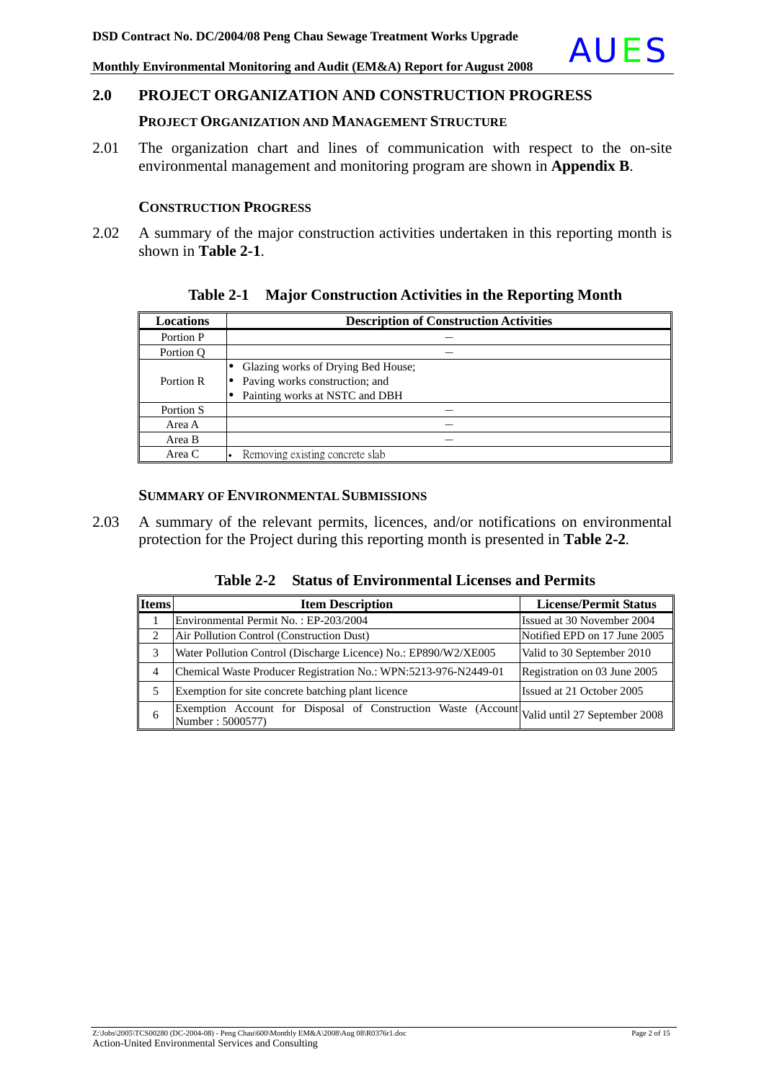### **PROJECT ORGANIZATION AND MANAGEMENT STRUCTURE**

2.01 The organization chart and lines of communication with respect to the on-site environmental management and monitoring program are shown in **Appendix B**.

### **CONSTRUCTION PROGRESS**

2.02 A summary of the major construction activities undertaken in this reporting month is shown in **Table 2-1**.

| <b>Locations</b> | <b>Description of Construction Activities</b> |
|------------------|-----------------------------------------------|
| Portion P        |                                               |
| Portion Q        |                                               |
|                  | Glazing works of Drying Bed House;            |
| Portion R        | Paving works construction; and                |
|                  | Painting works at NSTC and DBH                |
| Portion S        |                                               |
| Area A           |                                               |
| Area B           |                                               |
| Area C           | Removing existing concrete slab               |

### **Table 2-1 Major Construction Activities in the Reporting Month**

### **SUMMARY OF ENVIRONMENTAL SUBMISSIONS**

2.03 A summary of the relevant permits, licences, and/or notifications on environmental protection for the Project during this reporting month is presented in **Table 2-2***.*

| Table 2-2 Status of Environmental Licenses and Permits |
|--------------------------------------------------------|
|                                                        |

| <b>Items</b> | <b>Item Description</b>                                                                                         | <b>License/Permit Status</b> |
|--------------|-----------------------------------------------------------------------------------------------------------------|------------------------------|
|              | Environmental Permit No.: EP-203/2004                                                                           | Issued at 30 November 2004   |
| 2            | Air Pollution Control (Construction Dust)                                                                       | Notified EPD on 17 June 2005 |
| 3            | Water Pollution Control (Discharge Licence) No.: EP890/W2/XE005                                                 | Valid to 30 September 2010   |
| 4            | Chemical Waste Producer Registration No.: WPN:5213-976-N2449-01                                                 | Registration on 03 June 2005 |
| 5            | Exemption for site concrete batching plant licence                                                              | Issued at 21 October 2005    |
| 6            | Exemption Account for Disposal of Construction Waste (Account Valid until 27 September 2008<br>Number: 5000577) |                              |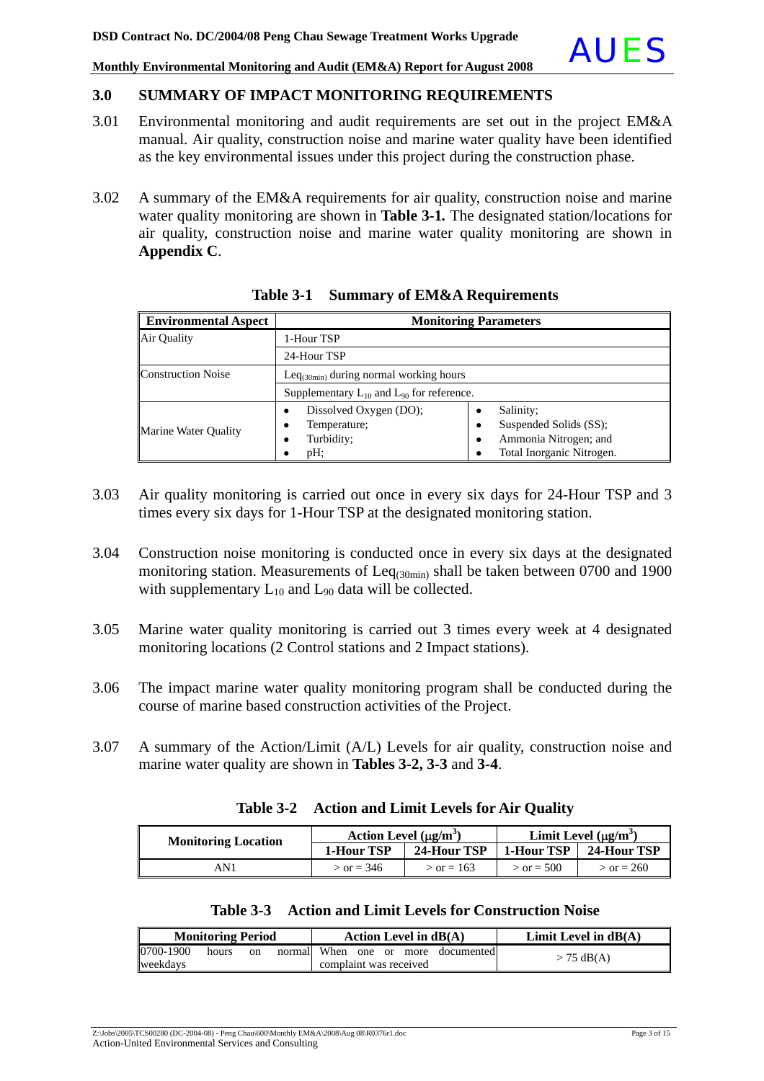### **3.0 SUMMARY OF IMPACT MONITORING REQUIREMENTS**

- 3.01 Environmental monitoring and audit requirements are set out in the project EM&A manual. Air quality, construction noise and marine water quality have been identified as the key environmental issues under this project during the construction phase.
- 3.02 A summary of the EM&A requirements for air quality, construction noise and marine water quality monitoring are shown in **Table 3-1***.* The designated station/locations for air quality, construction noise and marine water quality monitoring are shown in **Appendix C**.

| <b>Environmental Aspect</b> |                                                                  | <b>Monitoring Parameters</b>                                                                        |
|-----------------------------|------------------------------------------------------------------|-----------------------------------------------------------------------------------------------------|
| Air Ouality                 | 1-Hour TSP                                                       |                                                                                                     |
|                             | 24-Hour TSP                                                      |                                                                                                     |
| <b>Construction Noise</b>   | $\text{Leq}_{(30\text{min})}$ during normal working hours        |                                                                                                     |
|                             | Supplementary $L_{10}$ and $L_{90}$ for reference.               |                                                                                                     |
| <b>Marine Water Quality</b> | Dissolved Oxygen (DO);<br>Temperature;<br>Turbidity;<br>pH:<br>٠ | Salinity:<br>Suspended Solids (SS);<br>٠<br>Ammonia Nitrogen; and<br>٠<br>Total Inorganic Nitrogen. |

**Table 3-1 Summary of EM&A Requirements**

- 3.03 Air quality monitoring is carried out once in every six days for 24-Hour TSP and 3 times every six days for 1-Hour TSP at the designated monitoring station.
- 3.04 Construction noise monitoring is conducted once in every six days at the designated monitoring station. Measurements of Leq<sub>(30min)</sub> shall be taken between 0700 and 1900 with supplementary  $L_{10}$  and  $L_{90}$  data will be collected.
- 3.05 Marine water quality monitoring is carried out 3 times every week at 4 designated monitoring locations (2 Control stations and 2 Impact stations).
- 3.06 The impact marine water quality monitoring program shall be conducted during the course of marine based construction activities of the Project.
- 3.07 A summary of the Action/Limit (A/L) Levels for air quality, construction noise and marine water quality are shown in **Tables 3-2, 3-3** and **3-4**.

| <b>Monitoring Location</b> | Action Level $(\mu g/m^3)$ |                   |              | Limit Level $(\mu g/m^3)$ |
|----------------------------|----------------------------|-------------------|--------------|---------------------------|
|                            | 1-Hour TSP                 | 24-Hour TSP       | 1-Hour TSP   | 24-Hour TSP               |
| ANI                        | $>$ or = 346               | $\gamma$ or = 163 | $>$ or = 500 | $>$ or = 260              |

| Table 3-2 Action and Limit Levels for Air Quality |
|---------------------------------------------------|
|                                                   |

| Table 3-3 Action and Limit Levels for Construction Noise |  |
|----------------------------------------------------------|--|
|----------------------------------------------------------|--|

| <b>Monitoring Period</b> |       |               |  | Action Level in $dB(A)$ |  |  |                                     | Limit Level in $dB(A)$ |
|--------------------------|-------|---------------|--|-------------------------|--|--|-------------------------------------|------------------------|
| 0700-1900                | hours | <sub>on</sub> |  |                         |  |  | normall When one or more documented | $>$ 75 dB(A)           |
| weekdavs                 |       |               |  | complaint was received  |  |  |                                     |                        |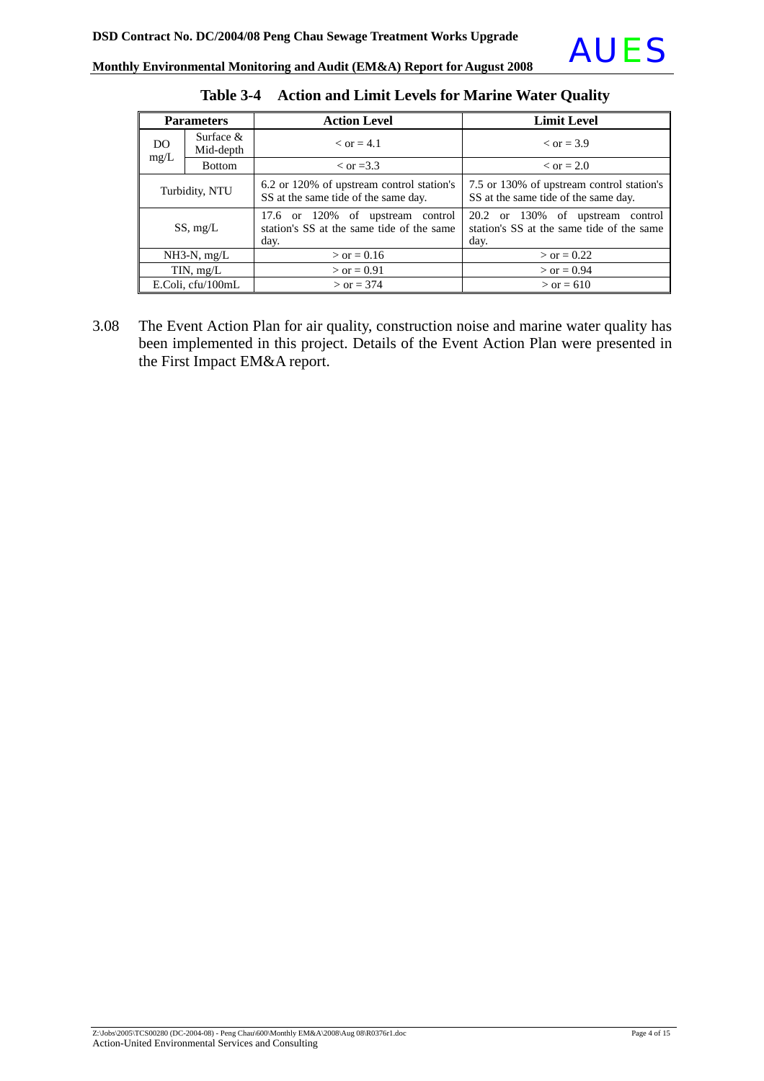

| <b>Parameters</b> |                           | <b>Action Level</b>                                                                   | <b>Limit Level</b>                                                                    |  |  |
|-------------------|---------------------------|---------------------------------------------------------------------------------------|---------------------------------------------------------------------------------------|--|--|
| <b>DO</b><br>mg/L | Surface $\&$<br>Mid-depth | $\epsilon$ or = 4.1                                                                   | $\epsilon$ or = 3.9                                                                   |  |  |
|                   | <b>Bottom</b>             | $\rm <$ or =3.3                                                                       | $\epsilon$ or = 2.0                                                                   |  |  |
| Turbidity, NTU    |                           | 6.2 or 120% of upstream control station's<br>SS at the same tide of the same day.     | 7.5 or 130% of upstream control station's<br>SS at the same tide of the same day.     |  |  |
| SS, mg/L          |                           | 17.6 or 120% of upstream control<br>station's SS at the same tide of the same<br>day. | 20.2 or 130% of upstream control<br>station's SS at the same tide of the same<br>day. |  |  |
| $NH3-N$ , mg/L    |                           | $>$ or = 0.16                                                                         | $>$ or = 0.22                                                                         |  |  |
| TIN, mg/L         |                           | $>$ or = 0.91                                                                         | $>$ or = 0.94                                                                         |  |  |
|                   | E.Coli, cfu/100mL         | $>$ or = 374                                                                          | $>$ or = 610                                                                          |  |  |

**Table 3-4 Action and Limit Levels for Marine Water Quality** 

3.08 The Event Action Plan for air quality, construction noise and marine water quality has been implemented in this project. Details of the Event Action Plan were presented in the First Impact EM&A report.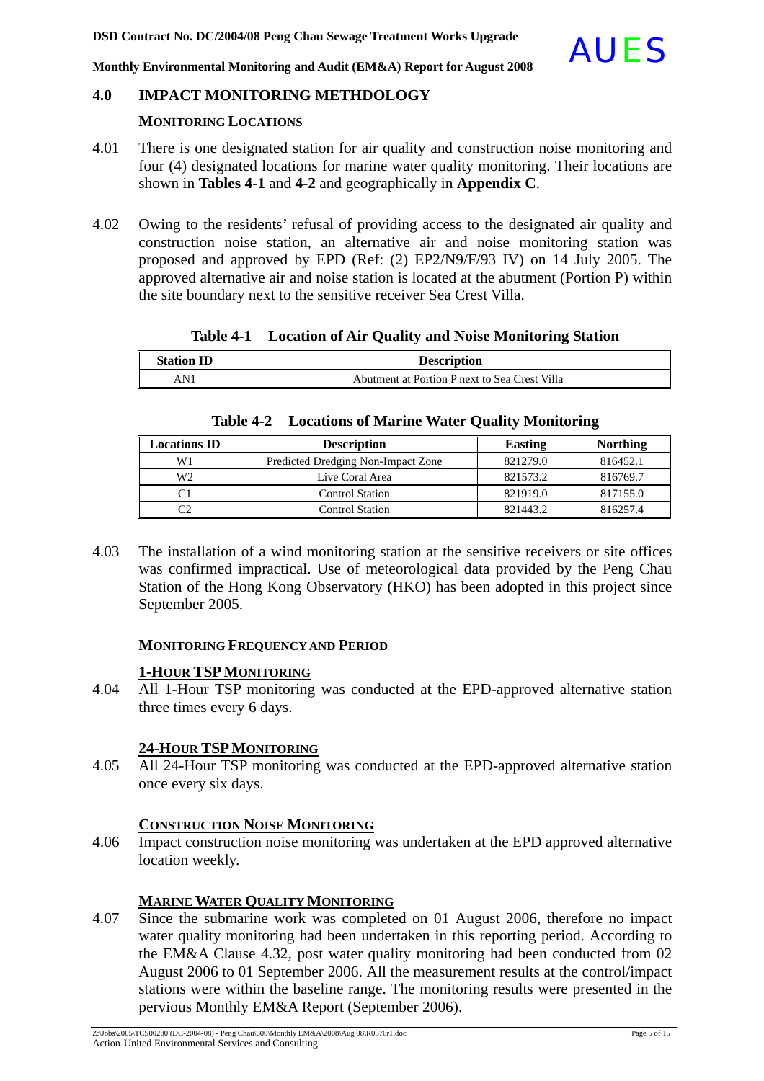### **4.0 IMPACT MONITORING METHDOLOGY**

### **MONITORING LOCATIONS**

- 4.01 There is one designated station for air quality and construction noise monitoring and four (4) designated locations for marine water quality monitoring. Their locations are shown in **Tables 4-1** and **4-2** and geographically in **Appendix C**.
- 4.02 Owing to the residents' refusal of providing access to the designated air quality and construction noise station, an alternative air and noise monitoring station was proposed and approved by EPD (Ref: (2) EP2/N9/F/93 IV) on 14 July 2005. The approved alternative air and noise station is located at the abutment (Portion P) within the site boundary next to the sensitive receiver Sea Crest Villa.

### **Table 4-1 Location of Air Quality and Noise Monitoring Station**

| <b>Station ID</b> | <b>Description</b>                            |
|-------------------|-----------------------------------------------|
| AN 1              | Abutment at Portion P next to Sea Crest Villa |

## **Table 4-2 Locations of Marine Water Quality Monitoring**

| <b>Locations ID</b> | <b>Description</b>                 | Easting  | <b>Northing</b> |
|---------------------|------------------------------------|----------|-----------------|
| W1                  | Predicted Dredging Non-Impact Zone | 821279.0 | 816452.1        |
| W <sub>2</sub>      | Live Coral Area                    | 821573.2 | 816769.7        |
|                     | <b>Control Station</b>             | 821919.0 | 817155.0        |
|                     | <b>Control Station</b>             | 821443.2 | 816257.4        |

4.03 The installation of a wind monitoring station at the sensitive receivers or site offices was confirmed impractical. Use of meteorological data provided by the Peng Chau Station of the Hong Kong Observatory (HKO) has been adopted in this project since September 2005.

### **MONITORING FREQUENCY AND PERIOD**

### **1-HOUR TSPMONITORING**

4.04 All 1-Hour TSP monitoring was conducted at the EPD-approved alternative station three times every 6 days.

### **24-HOUR TSPMONITORING**

4.05 All 24-Hour TSP monitoring was conducted at the EPD-approved alternative station once every six days.

### **CONSTRUCTION NOISE MONITORING**

4.06 Impact construction noise monitoring was undertaken at the EPD approved alternative location weekly.

### **MARINE WATER QUALITY MONITORING**

4.07 Since the submarine work was completed on 01 August 2006, therefore no impact water quality monitoring had been undertaken in this reporting period. According to the EM&A Clause 4.32, post water quality monitoring had been conducted from 02 August 2006 to 01 September 2006. All the measurement results at the control/impact stations were within the baseline range. The monitoring results were presented in the pervious Monthly EM&A Report (September 2006).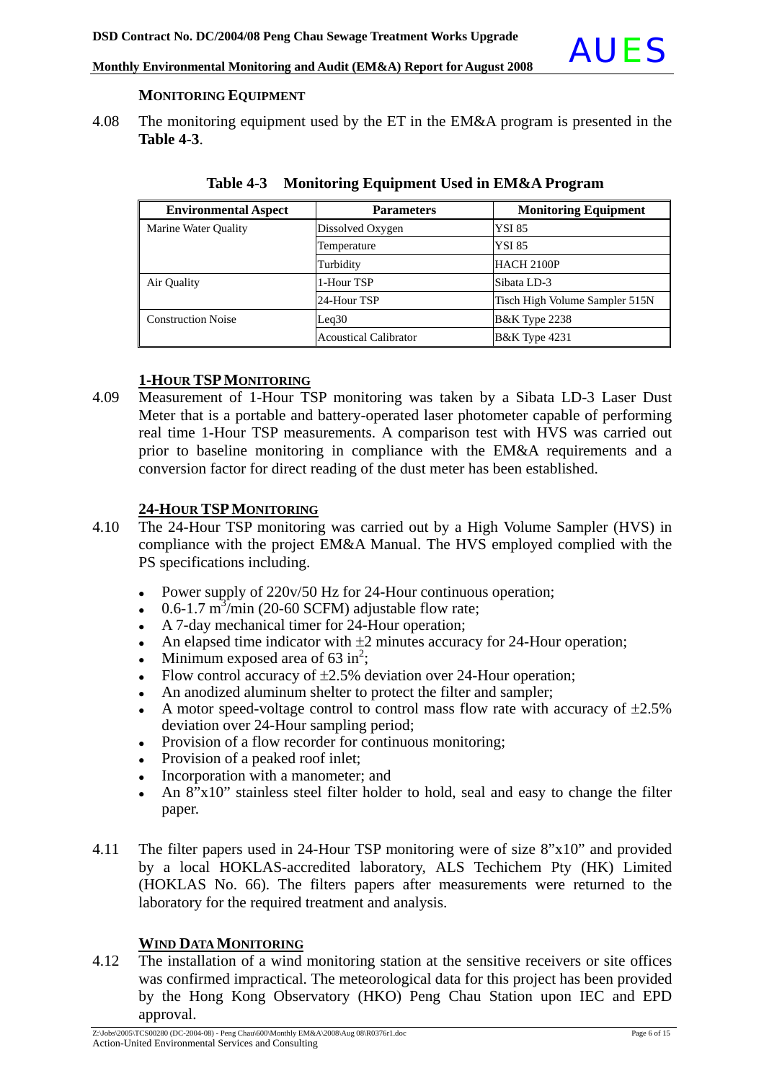

### **MONITORING EQUIPMENT**

4.08 The monitoring equipment used by the ET in the EM&A program is presented in the **Table 4-3**.

| <b>Environmental Aspect</b> | <b>Parameters</b>            | <b>Monitoring Equipment</b>    |
|-----------------------------|------------------------------|--------------------------------|
| Marine Water Quality        | Dissolved Oxygen             | <b>YSI 85</b>                  |
|                             | Temperature                  | <b>YSI 85</b>                  |
|                             | Turbidity                    | HACH 2100P                     |
| Air Quality                 | 1-Hour TSP                   | Sibata LD-3                    |
|                             | 24-Hour TSP                  | Tisch High Volume Sampler 515N |
| <b>Construction Noise</b>   | Leq30                        | <b>B&amp;K</b> Type 2238       |
|                             | <b>Acoustical Calibrator</b> | <b>B&amp;K</b> Type 4231       |

|  |  | Table 4-3 Monitoring Equipment Used in EM&A Program |
|--|--|-----------------------------------------------------|
|--|--|-----------------------------------------------------|

### **1-HOUR TSPMONITORING**

4.09 Measurement of 1-Hour TSP monitoring was taken by a Sibata LD-3 Laser Dust Meter that is a portable and battery-operated laser photometer capable of performing real time 1-Hour TSP measurements. A comparison test with HVS was carried out prior to baseline monitoring in compliance with the EM&A requirements and a conversion factor for direct reading of the dust meter has been established.

### **24-HOUR TSPMONITORING**

- 4.10 The 24-Hour TSP monitoring was carried out by a High Volume Sampler (HVS) in compliance with the project EM&A Manual. The HVS employed complied with the PS specifications including.
	- Power supply of 220v/50 Hz for 24-Hour continuous operation;
	- $\cdot$  0.6-1.7 m<sup>3</sup>/min (20-60 SCFM) adjustable flow rate;
	- A 7-day mechanical timer for 24-Hour operation;
	- An elapsed time indicator with  $\pm 2$  minutes accuracy for 24-Hour operation;
	- Minimum exposed area of  $63 \text{ in}^2$ ;
	- Flow control accuracy of  $\pm 2.5$ % deviation over 24-Hour operation;
	- An anodized aluminum shelter to protect the filter and sampler;
	- A motor speed-voltage control to control mass flow rate with accuracy of  $\pm 2.5\%$ deviation over 24-Hour sampling period;
	- Provision of a flow recorder for continuous monitoring;
	- Provision of a peaked roof inlet;
	- Incorporation with a manometer; and
	- An 8"x10" stainless steel filter holder to hold, seal and easy to change the filter paper.
- 4.11 The filter papers used in 24-Hour TSP monitoring were of size 8"x10" and provided by a local HOKLAS-accredited laboratory, ALS Techichem Pty (HK) Limited (HOKLAS No. 66). The filters papers after measurements were returned to the laboratory for the required treatment and analysis.

### **WIND DATA MONITORING**

4.12 The installation of a wind monitoring station at the sensitive receivers or site offices was confirmed impractical. The meteorological data for this project has been provided by the Hong Kong Observatory (HKO) Peng Chau Station upon IEC and EPD approval.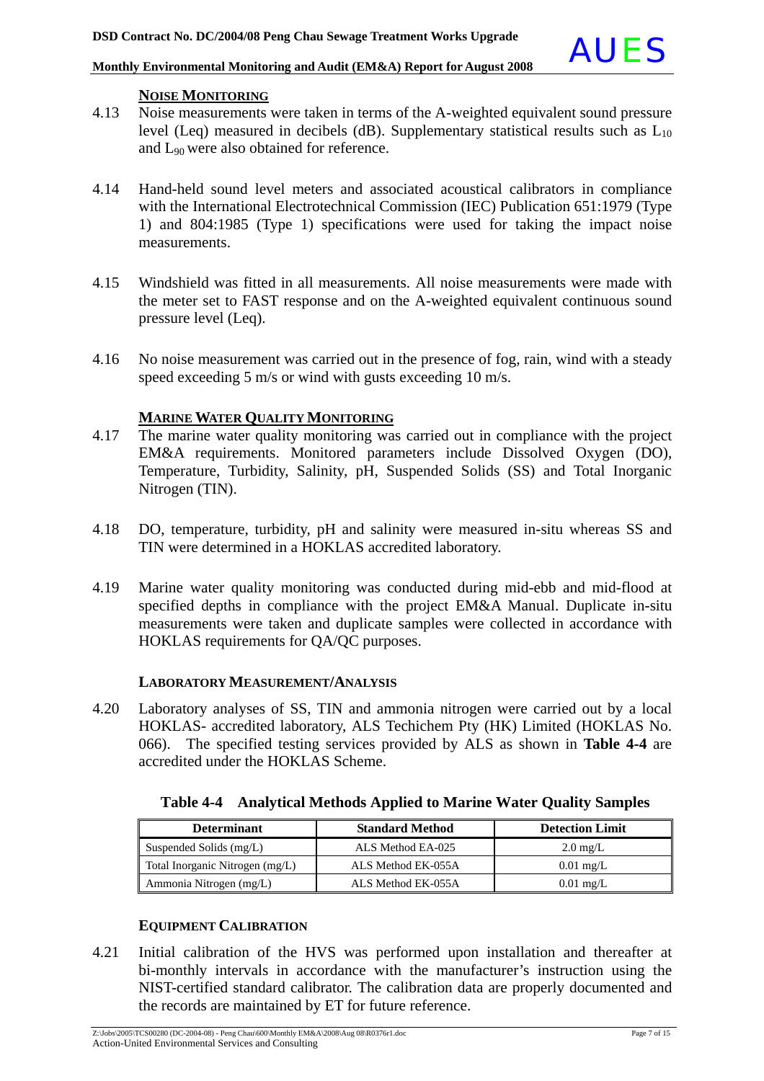### **NOISE MONITORING**

- 4.13 Noise measurements were taken in terms of the A-weighted equivalent sound pressure level (Leq) measured in decibels (dB). Supplementary statistical results such as  $L_{10}$ and L90 were also obtained for reference.
- 4.14 Hand-held sound level meters and associated acoustical calibrators in compliance with the International Electrotechnical Commission (IEC) Publication 651:1979 (Type 1) and 804:1985 (Type 1) specifications were used for taking the impact noise measurements.
- 4.15 Windshield was fitted in all measurements. All noise measurements were made with the meter set to FAST response and on the A-weighted equivalent continuous sound pressure level (Leq).
- 4.16 No noise measurement was carried out in the presence of fog, rain, wind with a steady speed exceeding 5 m/s or wind with gusts exceeding 10 m/s.

### **MARINE WATER QUALITY MONITORING**

- 4.17 The marine water quality monitoring was carried out in compliance with the project EM&A requirements. Monitored parameters include Dissolved Oxygen (DO), Temperature, Turbidity, Salinity, pH, Suspended Solids (SS) and Total Inorganic Nitrogen (TIN).
- 4.18 DO, temperature, turbidity, pH and salinity were measured in-situ whereas SS and TIN were determined in a HOKLAS accredited laboratory.
- 4.19 Marine water quality monitoring was conducted during mid-ebb and mid-flood at specified depths in compliance with the project EM&A Manual. Duplicate in-situ measurements were taken and duplicate samples were collected in accordance with HOKLAS requirements for QA/QC purposes.

### **LABORATORY MEASUREMENT/ANALYSIS**

4.20 Laboratory analyses of SS, TIN and ammonia nitrogen were carried out by a local HOKLAS- accredited laboratory, ALS Techichem Pty (HK) Limited (HOKLAS No. 066). The specified testing services provided by ALS as shown in **Table 4-4** are accredited under the HOKLAS Scheme.

| <b>Determinant</b>              | <b>Standard Method</b> | <b>Detection Limit</b> |
|---------------------------------|------------------------|------------------------|
| Suspended Solids (mg/L)         | ALS Method EA-025      | $2.0 \text{ mg/L}$     |
| Total Inorganic Nitrogen (mg/L) | ALS Method EK-055A     | $0.01 \text{ mg/L}$    |
| Ammonia Nitrogen (mg/L)         | ALS Method EK-055A     | $0.01 \text{ mg/L}$    |

**Table 4-4 Analytical Methods Applied to Marine Water Quality Samples**

### **EQUIPMENT CALIBRATION**

4.21 Initial calibration of the HVS was performed upon installation and thereafter at bi-monthly intervals in accordance with the manufacturer's instruction using the NIST-certified standard calibrator. The calibration data are properly documented and the records are maintained by ET for future reference.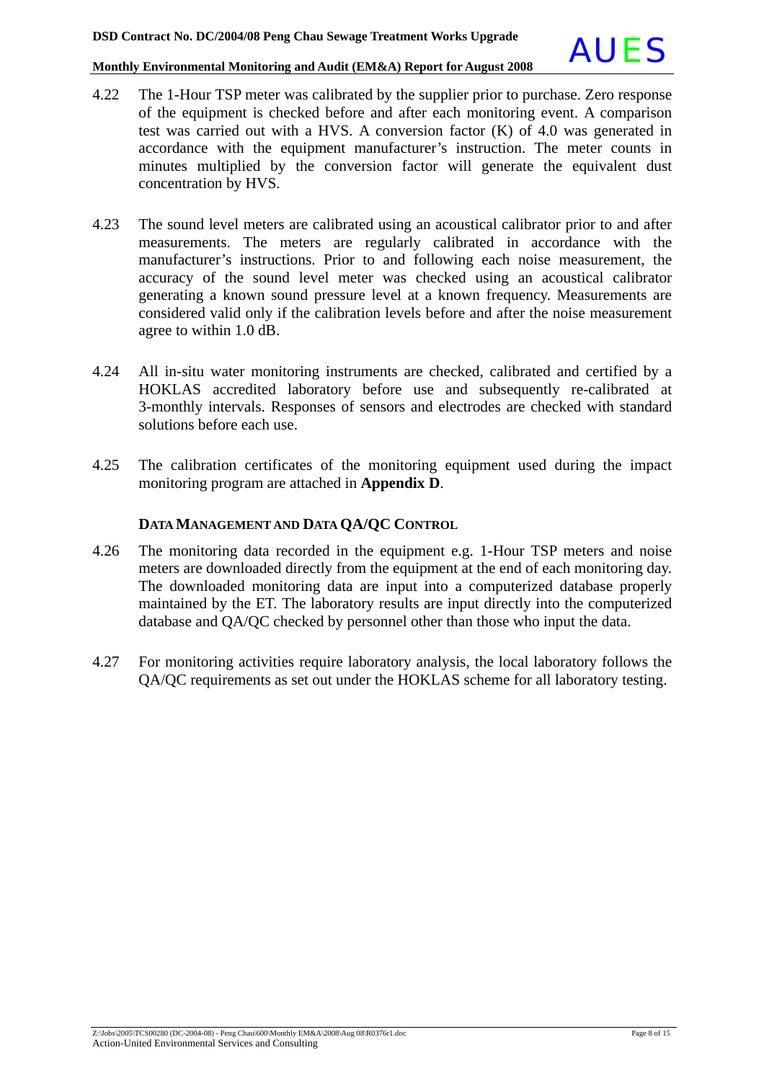

- 4.22 The 1-Hour TSP meter was calibrated by the supplier prior to purchase. Zero response of the equipment is checked before and after each monitoring event. A comparison test was carried out with a HVS. A conversion factor (K) of 4.0 was generated in accordance with the equipment manufacturer's instruction. The meter counts in minutes multiplied by the conversion factor will generate the equivalent dust concentration by HVS.
- 4.23 The sound level meters are calibrated using an acoustical calibrator prior to and after measurements. The meters are regularly calibrated in accordance with the manufacturer's instructions. Prior to and following each noise measurement, the accuracy of the sound level meter was checked using an acoustical calibrator generating a known sound pressure level at a known frequency. Measurements are considered valid only if the calibration levels before and after the noise measurement agree to within 1.0 dB.
- 4.24 All in-situ water monitoring instruments are checked, calibrated and certified by a HOKLAS accredited laboratory before use and subsequently re-calibrated at 3-monthly intervals. Responses of sensors and electrodes are checked with standard solutions before each use.
- 4.25 The calibration certificates of the monitoring equipment used during the impact monitoring program are attached in **Appendix D**.

### **DATA MANAGEMENT AND DATA QA/QC CONTROL**

- 4.26 The monitoring data recorded in the equipment e.g. 1-Hour TSP meters and noise meters are downloaded directly from the equipment at the end of each monitoring day. The downloaded monitoring data are input into a computerized database properly maintained by the ET. The laboratory results are input directly into the computerized database and QA/QC checked by personnel other than those who input the data.
- 4.27 For monitoring activities require laboratory analysis, the local laboratory follows the QA/QC requirements as set out under the HOKLAS scheme for all laboratory testing.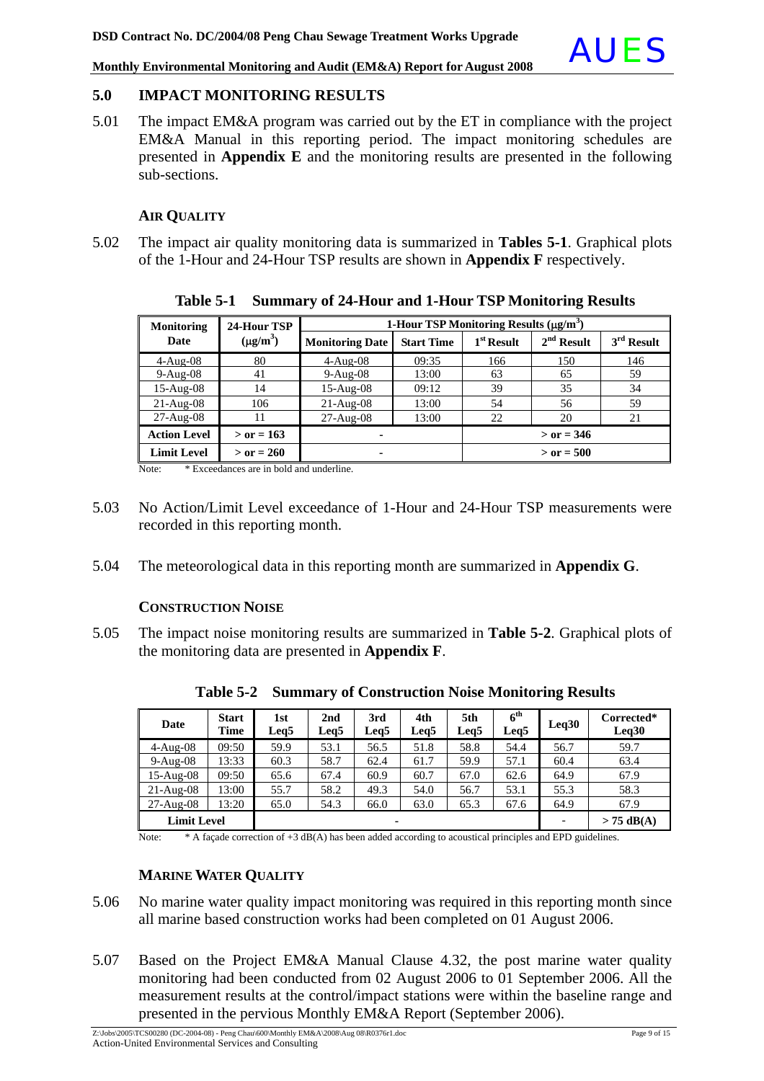### **5.0 IMPACT MONITORING RESULTS**

5.01 The impact EM&A program was carried out by the ET in compliance with the project EM&A Manual in this reporting period. The impact monitoring schedules are presented in **Appendix E** and the monitoring results are presented in the following sub-sections.

### **AIR QUALITY**

5.02 The impact air quality monitoring data is summarized in **Tables 5-1**. Graphical plots of the 1-Hour and 24-Hour TSP results are shown in **Appendix F** respectively.

| <b>Monitoring</b>   | 24-Hour TSP   | 1-Hour TSP Monitoring Results $(\mu g/m^3)$ |                   |                        |              |              |  |
|---------------------|---------------|---------------------------------------------|-------------------|------------------------|--------------|--------------|--|
| Date                | $(\mu g/m^3)$ | <b>Monitoring Date</b>                      | <b>Start Time</b> | 1 <sup>st</sup> Result | $2nd$ Result | $3rd$ Result |  |
| $4-Aug-08$          | 80            | $4-Au$ g-08                                 | 09:35             | 166                    | 150          | 146          |  |
| $9-Aug-08$          | 41            | $9-Aug-08$                                  | 13:00             | 63                     | 65           | 59           |  |
| $15-Aug-08$         | 14            | $15-Aug-08$                                 | 09:12             | 39                     | 35           | 34           |  |
| $21-Aug-08$         | 106           | $21-Aug-08$                                 | 13:00             | 54                     | 56           | 59           |  |
| $27-Aug-08$         | 11            | $27$ -Aug- $08$                             | 13:00             | 22                     | 20           | 21           |  |
| <b>Action Level</b> | $>$ or = 163  | $\blacksquare$                              |                   |                        | $>$ or = 346 |              |  |
| <b>Limit Level</b>  | $>$ or = 260  |                                             |                   | $>$ or = 500           |              |              |  |

**Table 5-1 Summary of 24-Hour and 1-Hour TSP Monitoring Results** 

Note: \* Exceedances are in bold and underline.

- 5.03 No Action/Limit Level exceedance of 1-Hour and 24-Hour TSP measurements were recorded in this reporting month.
- 5.04 The meteorological data in this reporting month are summarized in **Appendix G**.

### **CONSTRUCTION NOISE**

5.05 The impact noise monitoring results are summarized in **Table 5-2**. Graphical plots of the monitoring data are presented in **Appendix F**.

| Date               | <b>Start</b><br>Time | 1st<br>Leq5 | 2nd<br>Leg5 | 3rd<br>Leq5 | 4th<br>Leq5 | 5th<br>Leq5 | $6^{\rm th}$<br>Leq5 | Leq30        | Corrected*<br>Leq30 |
|--------------------|----------------------|-------------|-------------|-------------|-------------|-------------|----------------------|--------------|---------------------|
| $4-Aug-08$         | 09:50                | 59.9        | 53.1        | 56.5        | 51.8        | 58.8        | 54.4                 | 56.7         | 59.7                |
| $9-Aug-08$         | 13:33                | 60.3        | 58.7        | 62.4        | 61.7        | 59.9        | 57.1                 | 60.4         | 63.4                |
| $15-Aug-08$        | 09:50                | 65.6        | 67.4        | 60.9        | 60.7        | 67.0        | 62.6                 | 64.9         | 67.9                |
| $21-Aug-08$        | 13:00                | 55.7        | 58.2        | 49.3        | 54.0        | 56.7        | 53.1                 | 55.3         | 58.3                |
| $27-Aug-08$        | 13:20                | 65.0        | 54.3        | 66.0        | 63.0        | 65.3        | 67.6                 | 64.9         | 67.9                |
| <b>Limit Level</b> |                      | ۰           |             |             |             |             |                      | $> 75$ dB(A) |                     |

**Table 5-2 Summary of Construction Noise Monitoring Results** 

Note: \* A façade correction of +3 dB(A) has been added according to acoustical principles and EPD guidelines.

### **MARINE WATER QUALITY**

- 5.06 No marine water quality impact monitoring was required in this reporting month since all marine based construction works had been completed on 01 August 2006.
- 5.07 Based on the Project EM&A Manual Clause 4.32, the post marine water quality monitoring had been conducted from 02 August 2006 to 01 September 2006. All the measurement results at the control/impact stations were within the baseline range and presented in the pervious Monthly EM&A Report (September 2006).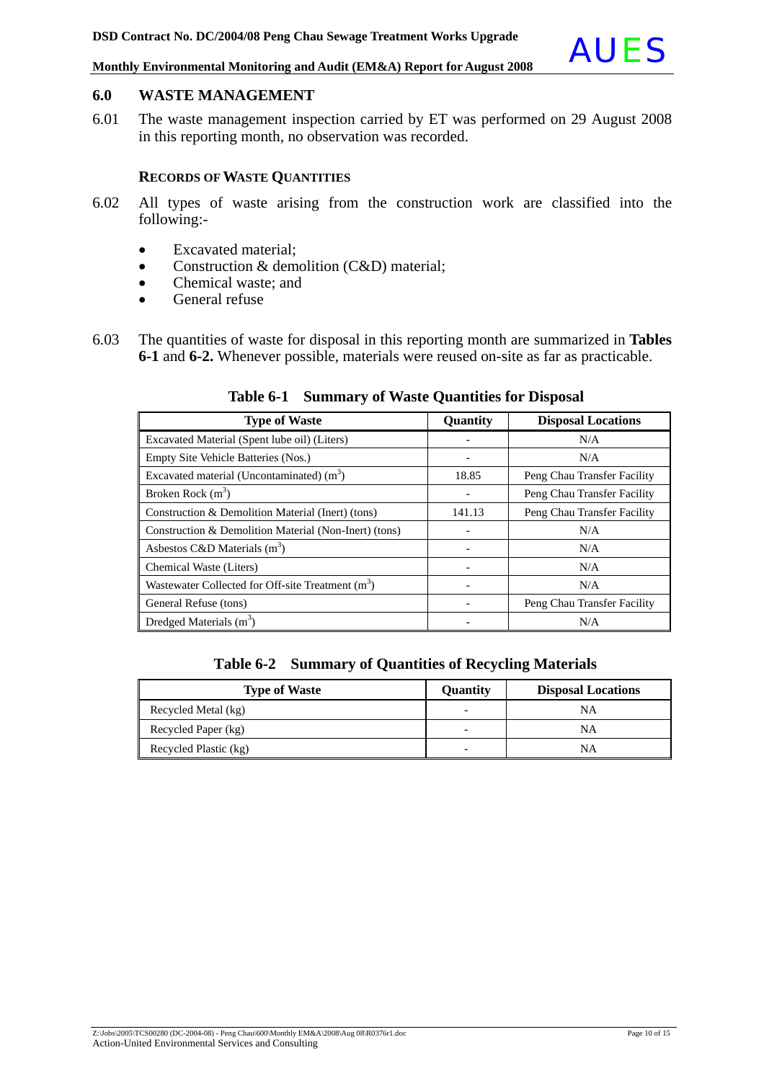### **6.0 WASTE MANAGEMENT**

6.01 The waste management inspection carried by ET was performed on 29 August 2008 in this reporting month, no observation was recorded.

### **RECORDS OF WASTE QUANTITIES**

- 6.02 All types of waste arising from the construction work are classified into the following:-
	- Excavated material;
	- Construction & demolition (C&D) material;
	- Chemical waste: and
	- General refuse
- 6.03 The quantities of waste for disposal in this reporting month are summarized in **Tables 6-1** and **6-2.** Whenever possible, materials were reused on-site as far as practicable.

| <b>Type of Waste</b>                                          | Quantity | <b>Disposal Locations</b>   |
|---------------------------------------------------------------|----------|-----------------------------|
| Excavated Material (Spent lube oil) (Liters)                  |          | N/A                         |
| Empty Site Vehicle Batteries (Nos.)                           |          | N/A                         |
| Excavated material (Uncontaminated) $(m^3)$                   | 18.85    | Peng Chau Transfer Facility |
| Broken Rock $(m^3)$                                           |          | Peng Chau Transfer Facility |
| Construction & Demolition Material (Inert) (tons)             | 141.13   | Peng Chau Transfer Facility |
| Construction & Demolition Material (Non-Inert) (tons)         |          | N/A                         |
| Asbestos C&D Materials $(m^3)$                                |          | N/A                         |
| Chemical Waste (Liters)                                       |          | N/A                         |
| Wastewater Collected for Off-site Treatment (m <sup>3</sup> ) |          | N/A                         |
| General Refuse (tons)                                         |          | Peng Chau Transfer Facility |
| Dredged Materials $(m^3)$                                     |          | N/A                         |

**Table 6-1 Summary of Waste Quantities for Disposal**

**Table 6-2 Summary of Quantities of Recycling Materials**

| <b>Type of Waste</b>  | Ouantitv | <b>Disposal Locations</b> |
|-----------------------|----------|---------------------------|
| Recycled Metal (kg)   |          | NΑ                        |
| Recycled Paper (kg)   |          | NA                        |
| Recycled Plastic (kg) |          | NΑ                        |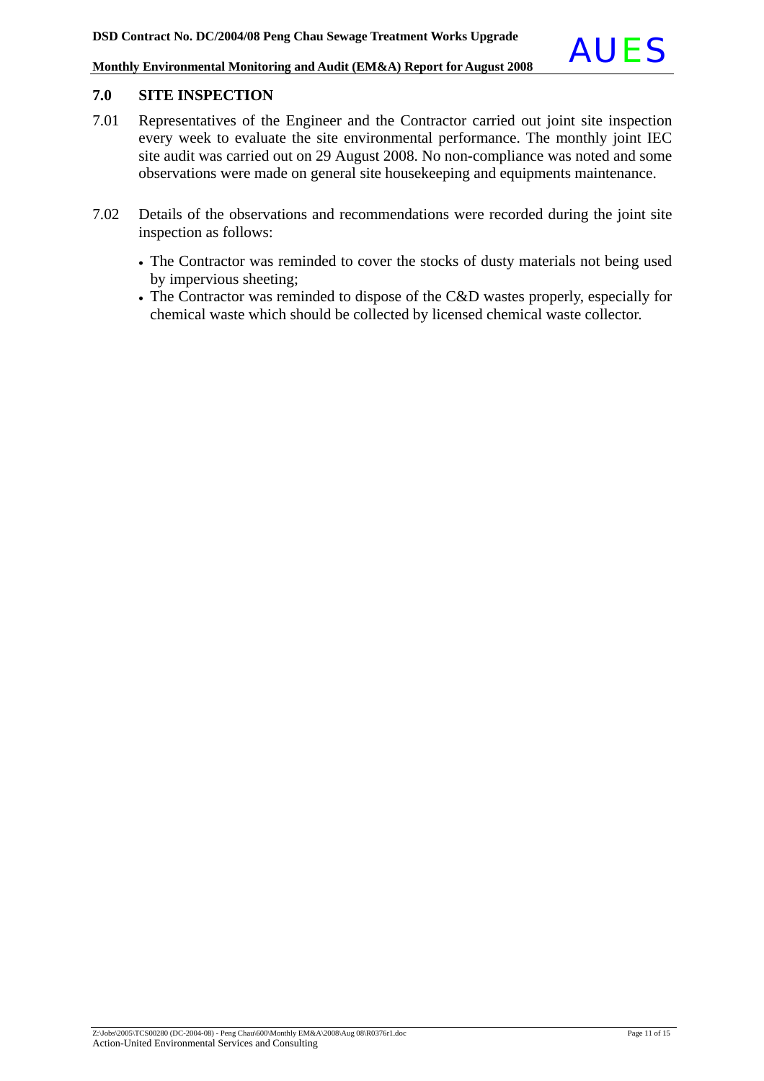### **7.0 SITE INSPECTION**

- 7.01 Representatives of the Engineer and the Contractor carried out joint site inspection every week to evaluate the site environmental performance. The monthly joint IEC site audit was carried out on 29 August 2008. No non-compliance was noted and some observations were made on general site housekeeping and equipments maintenance.
- 7.02 Details of the observations and recommendations were recorded during the joint site inspection as follows:
	- The Contractor was reminded to cover the stocks of dusty materials not being used by impervious sheeting;
	- The Contractor was reminded to dispose of the C&D wastes properly, especially for chemical waste which should be collected by licensed chemical waste collector.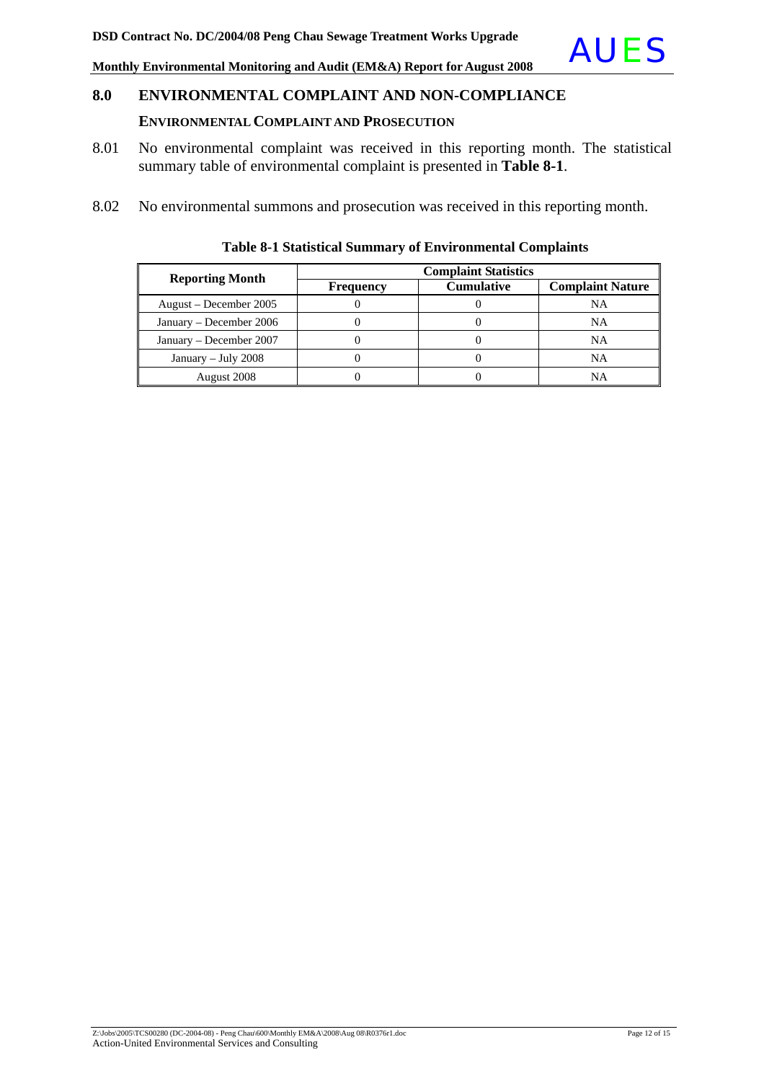## **8.0 ENVIRONMENTAL COMPLAINT AND NON-COMPLIANCE ENVIRONMENTAL COMPLAINT AND PROSECUTION**

- 8.01 No environmental complaint was received in this reporting month. The statistical summary table of environmental complaint is presented in **Table 8-1**.
- 8.02 No environmental summons and prosecution was received in this reporting month.

| <b>Reporting Month</b>  | <b>Complaint Statistics</b> |                   |                         |  |  |  |  |
|-------------------------|-----------------------------|-------------------|-------------------------|--|--|--|--|
|                         | <b>Frequency</b>            | <b>Cumulative</b> | <b>Complaint Nature</b> |  |  |  |  |
| August – December 2005  |                             |                   | NA                      |  |  |  |  |
| January – December 2006 |                             |                   | NA                      |  |  |  |  |
| January – December 2007 |                             |                   | <b>NA</b>               |  |  |  |  |
| January - July $2008$   |                             |                   | NA                      |  |  |  |  |
| August 2008             |                             |                   | NA                      |  |  |  |  |

### **Table 8-1 Statistical Summary of Environmental Complaints**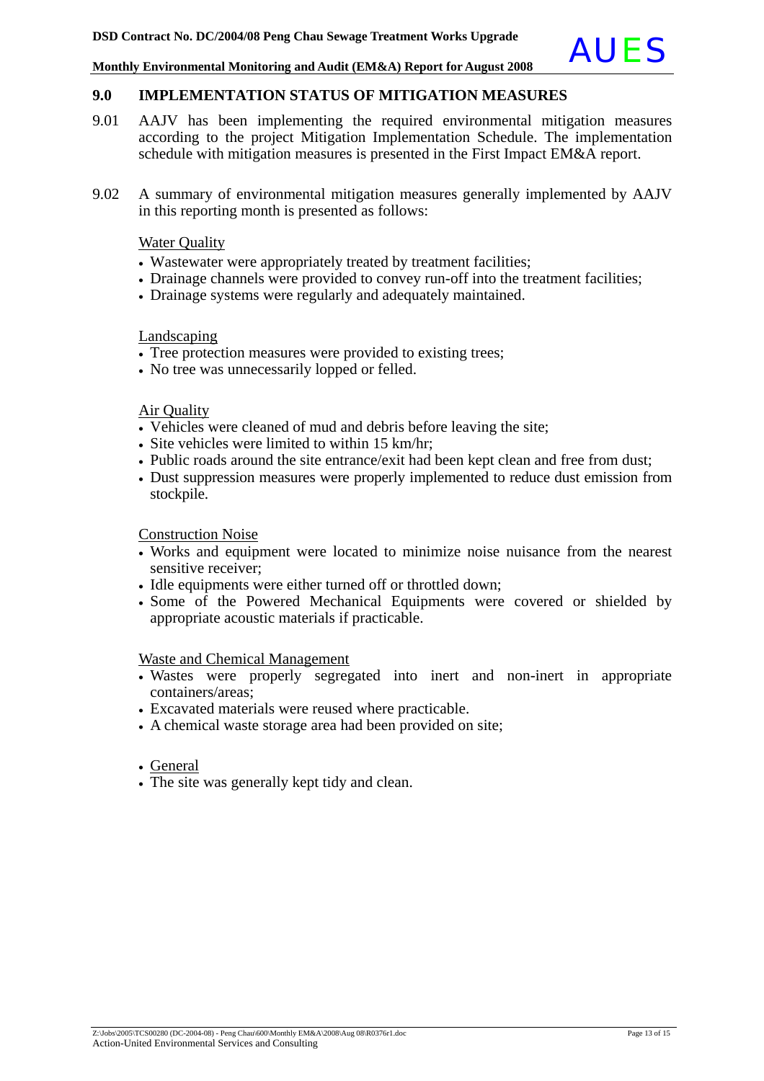### **9.0 IMPLEMENTATION STATUS OF MITIGATION MEASURES**

- 9.01 AAJV has been implementing the required environmental mitigation measures according to the project Mitigation Implementation Schedule. The implementation schedule with mitigation measures is presented in the First Impact EM&A report.
- 9.02 A summary of environmental mitigation measures generally implemented by AAJV in this reporting month is presented as follows:

### Water Quality

- Wastewater were appropriately treated by treatment facilities:
- Drainage channels were provided to convey run-off into the treatment facilities;
- Drainage systems were regularly and adequately maintained.

### Landscaping

- Tree protection measures were provided to existing trees;
- No tree was unnecessarily lopped or felled.

### Air Quality

- Vehicles were cleaned of mud and debris before leaving the site;
- Site vehicles were limited to within 15 km/hr;
- Public roads around the site entrance/exit had been kept clean and free from dust;
- Dust suppression measures were properly implemented to reduce dust emission from stockpile.

### Construction Noise

- Works and equipment were located to minimize noise nuisance from the nearest sensitive receiver;
- Idle equipments were either turned off or throttled down;
- Some of the Powered Mechanical Equipments were covered or shielded by appropriate acoustic materials if practicable.

### Waste and Chemical Management

- Wastes were properly segregated into inert and non-inert in appropriate containers/areas;
- Excavated materials were reused where practicable.
- A chemical waste storage area had been provided on site;

### • General

• The site was generally kept tidy and clean.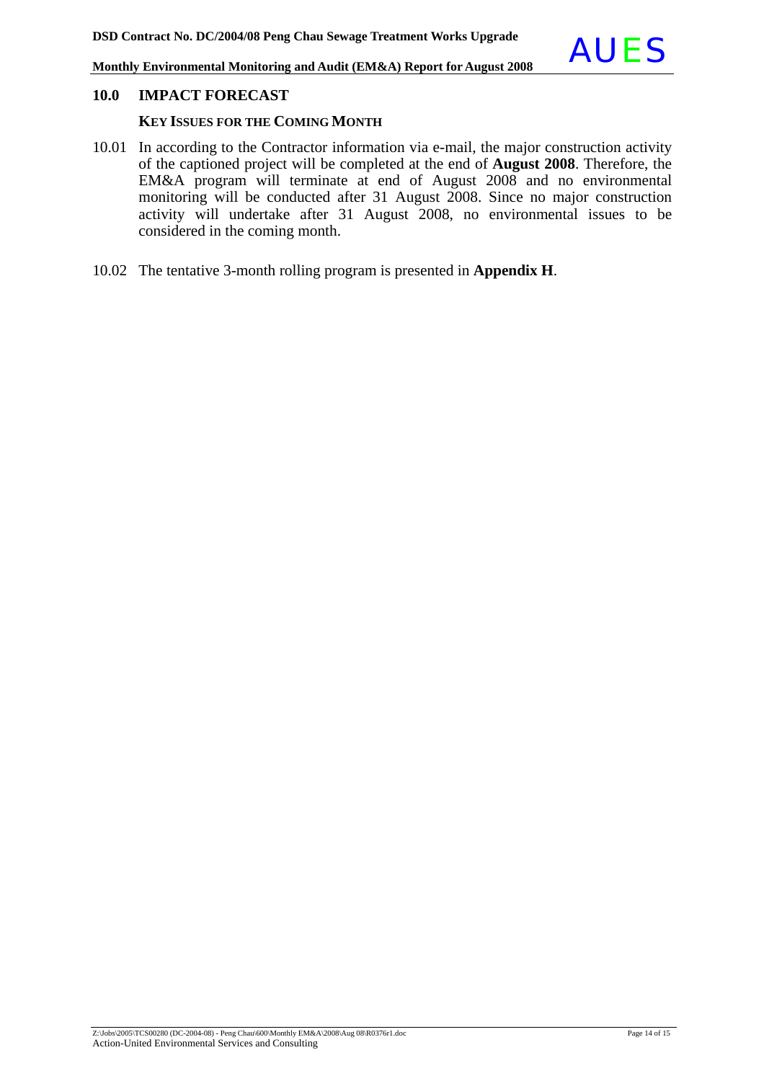### **KEY ISSUES FOR THE COMING MONTH**

- 10.01 In according to the Contractor information via e-mail, the major construction activity of the captioned project will be completed at the end of **August 2008**. Therefore, the EM&A program will terminate at end of August 2008 and no environmental monitoring will be conducted after 31 August 2008. Since no major construction activity will undertake after 31 August 2008, no environmental issues to be considered in the coming month.
- 10.02 The tentative 3-month rolling program is presented in **Appendix H**.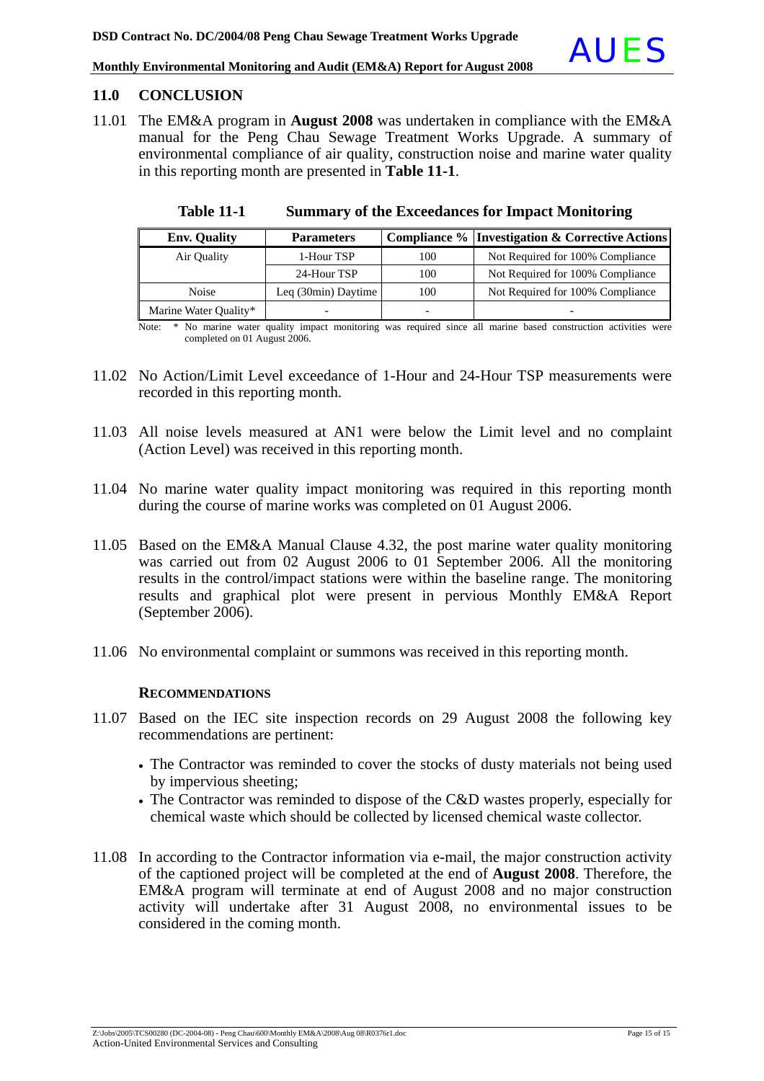### **11.0 CONCLUSION**

11.01 The EM&A program in **August 2008** was undertaken in compliance with the EM&A manual for the Peng Chau Sewage Treatment Works Upgrade. A summary of environmental compliance of air quality, construction noise and marine water quality in this reporting month are presented in **Table 11-1**.

| <b>Env.</b> Quality   | <b>Parameters</b>            |     | <b>Compliance % Investigation &amp; Corrective Actions</b> |
|-----------------------|------------------------------|-----|------------------------------------------------------------|
| Air Quality           | 1-Hour TSP                   | 100 | Not Required for 100% Compliance                           |
|                       | 24-Hour TSP                  | 100 | Not Required for 100% Compliance                           |
| Noise                 | Leq $(30\text{min})$ Daytime | 100 | Not Required for 100% Compliance                           |
| Marine Water Quality* |                              |     |                                                            |

**Table 11-1 Summary of the Exceedances for Impact Monitoring**

Note: \* No marine water quality impact monitoring was required since all marine based construction activities were completed on 01 August 2006.

- 11.02 No Action/Limit Level exceedance of 1-Hour and 24-Hour TSP measurements were recorded in this reporting month.
- 11.03 All noise levels measured at AN1 were below the Limit level and no complaint (Action Level) was received in this reporting month.
- 11.04 No marine water quality impact monitoring was required in this reporting month during the course of marine works was completed on 01 August 2006.
- 11.05 Based on the EM&A Manual Clause 4.32, the post marine water quality monitoring was carried out from 02 August 2006 to 01 September 2006. All the monitoring results in the control/impact stations were within the baseline range. The monitoring results and graphical plot were present in pervious Monthly EM&A Report (September 2006).
- 11.06 No environmental complaint or summons was received in this reporting month.

### **RECOMMENDATIONS**

- 11.07 Based on the IEC site inspection records on 29 August 2008 the following key recommendations are pertinent:
	- The Contractor was reminded to cover the stocks of dusty materials not being used by impervious sheeting;
	- The Contractor was reminded to dispose of the C&D wastes properly, especially for chemical waste which should be collected by licensed chemical waste collector.
- 11.08 In according to the Contractor information via e-mail, the major construction activity of the captioned project will be completed at the end of **August 2008**. Therefore, the EM&A program will terminate at end of August 2008 and no major construction activity will undertake after 31 August 2008, no environmental issues to be considered in the coming month.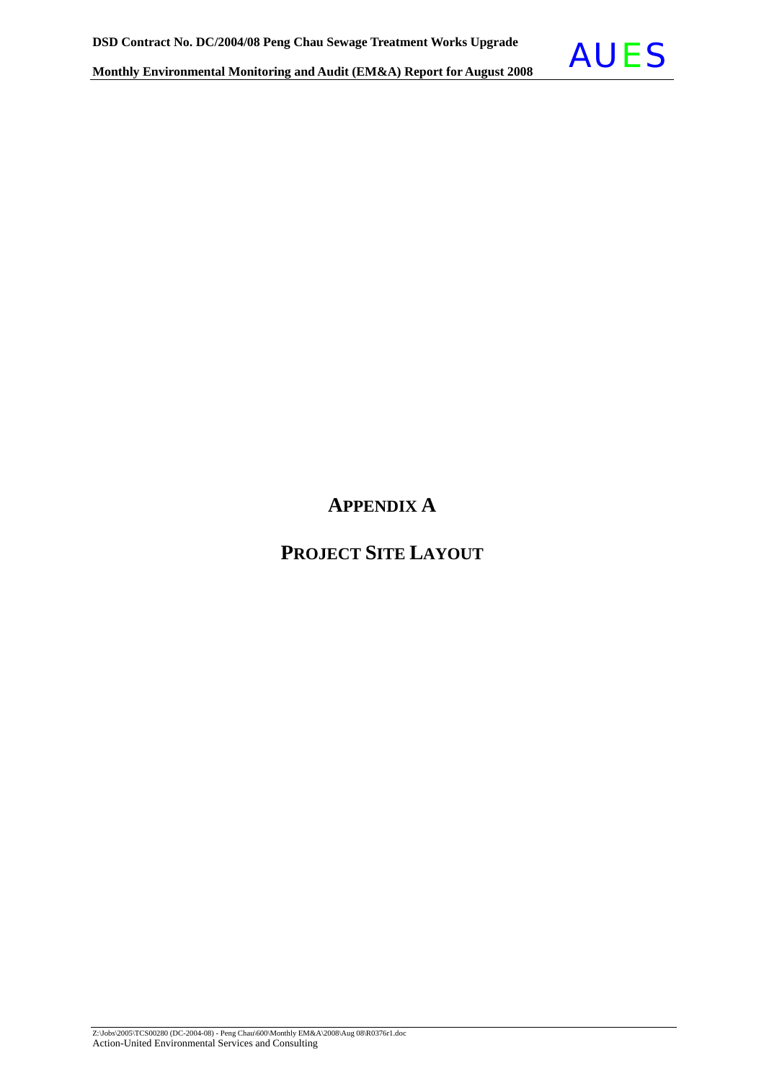

# **APPENDIX A**

## **PROJECT SITE LAYOUT**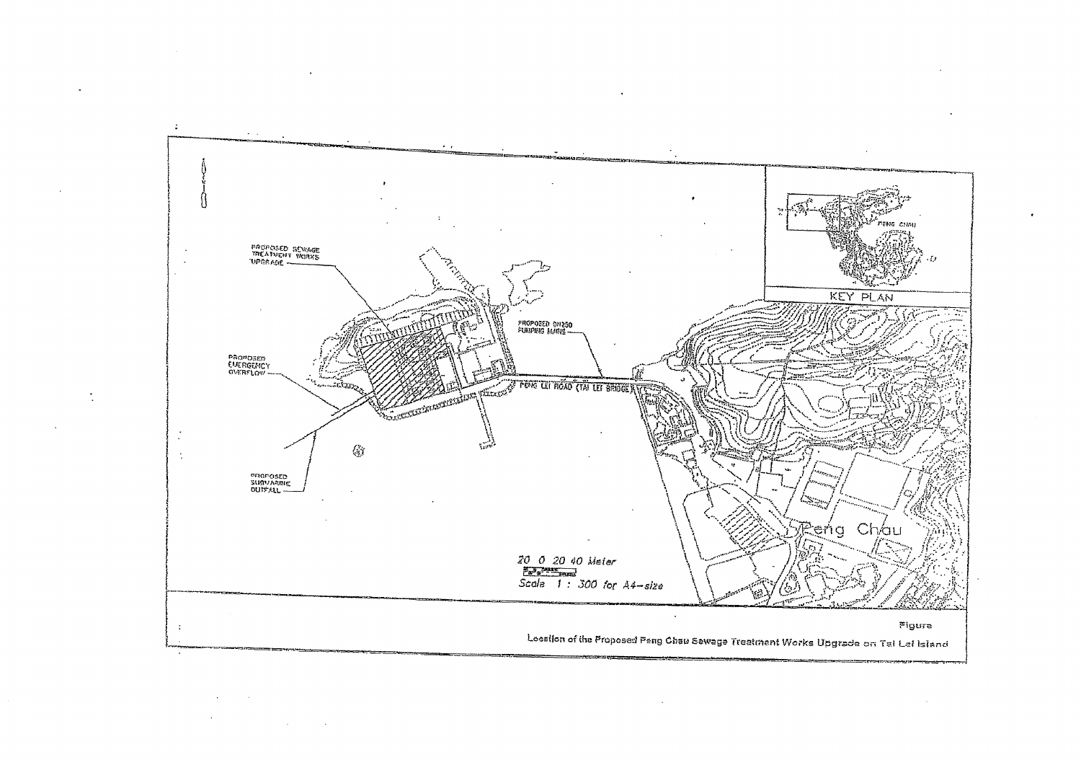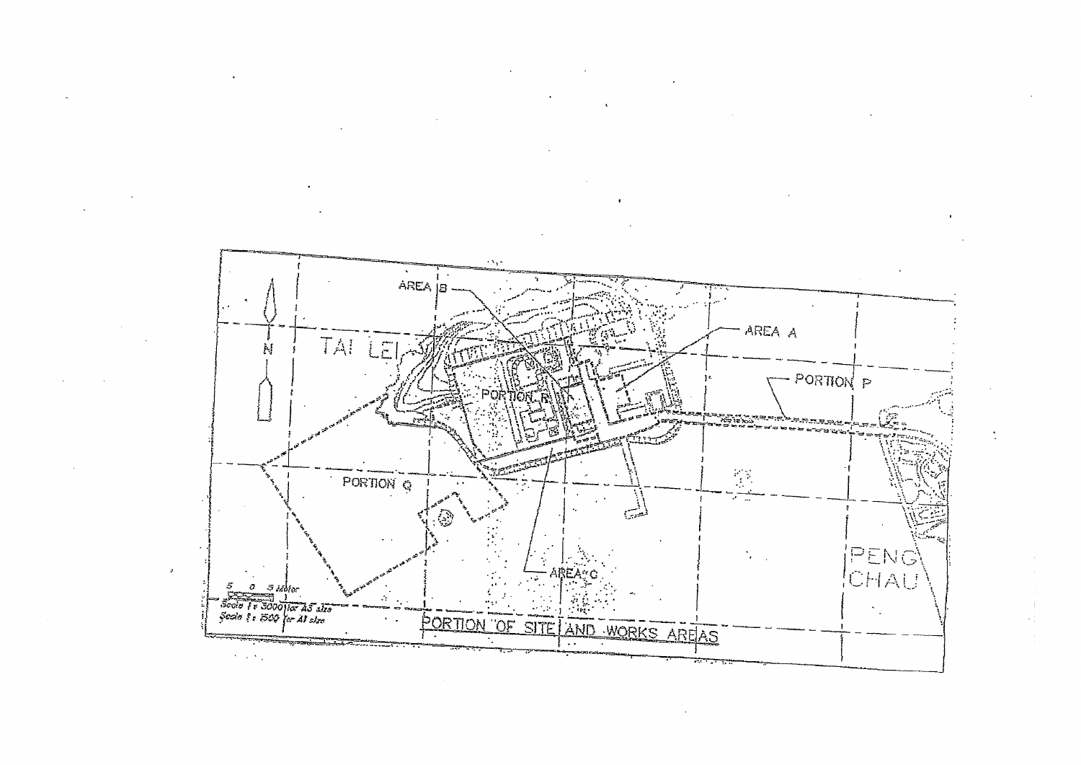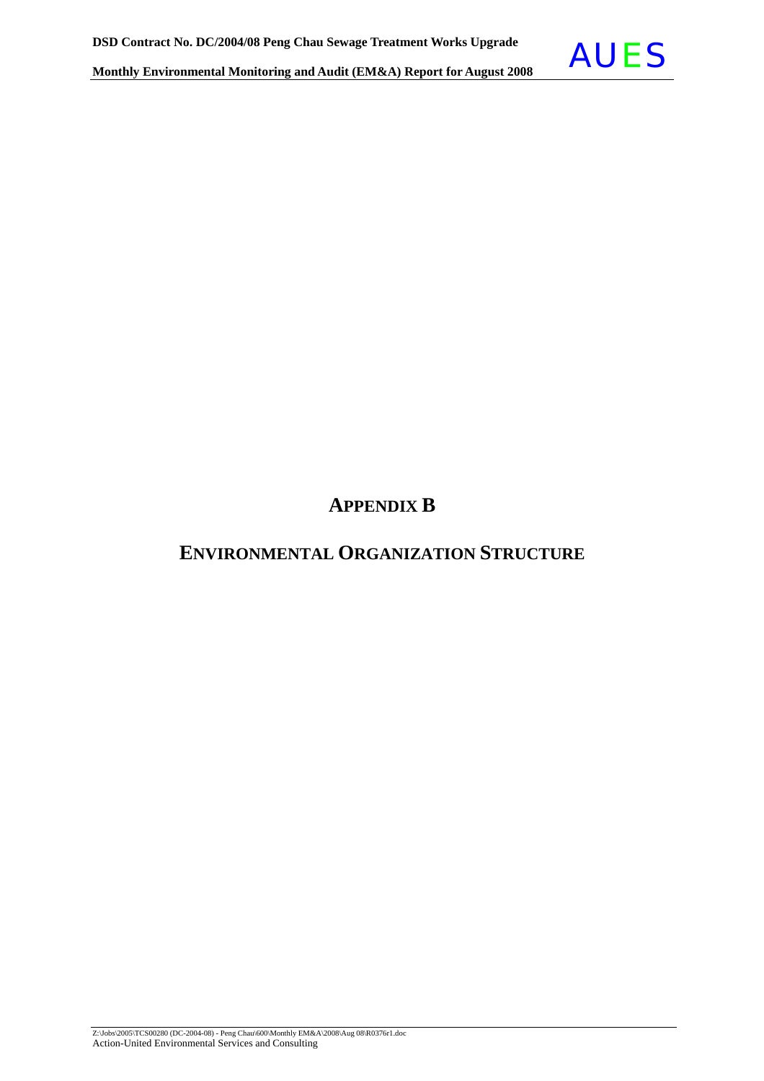

## **APPENDIX B**

## **ENVIRONMENTAL ORGANIZATION STRUCTURE**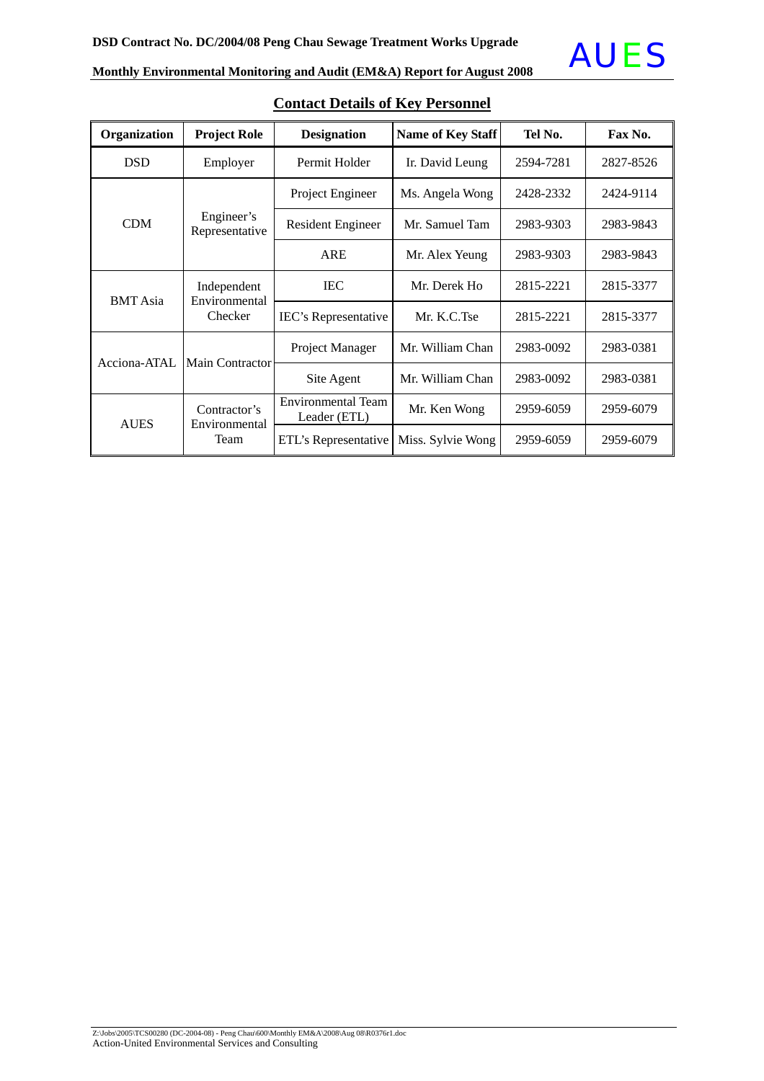

| Organization    | <b>Project Role</b>          | <b>Designation</b>                        | <b>Name of Key Staff</b> | Tel No.   | Fax No.   |
|-----------------|------------------------------|-------------------------------------------|--------------------------|-----------|-----------|
| <b>DSD</b>      | Employer                     | Permit Holder                             | Ir. David Leung          | 2594-7281 | 2827-8526 |
| <b>CDM</b>      |                              | Project Engineer                          | Ms. Angela Wong          | 2428-2332 | 2424-9114 |
|                 | Engineer's<br>Representative | Resident Engineer<br>Mr. Samuel Tam       |                          | 2983-9303 | 2983-9843 |
|                 |                              | <b>ARE</b>                                | Mr. Alex Yeung           | 2983-9303 | 2983-9843 |
| <b>BMT</b> Asia | Independent<br>Environmental | <b>IEC</b>                                | Mr. Derek Ho             | 2815-2221 | 2815-3377 |
|                 | Checker                      | IEC's Representative                      | Mr. K.C.Tse              | 2815-2221 | 2815-3377 |
|                 |                              | Project Manager                           | Mr. William Chan         | 2983-0092 | 2983-0381 |
| Acciona-ATAL    | <b>Main Contractor</b>       | Site Agent                                | Mr. William Chan         | 2983-0092 | 2983-0381 |
|                 | Contractor's                 | <b>Environmental Team</b><br>Leader (ETL) | Mr. Ken Wong             | 2959-6059 | 2959-6079 |
| <b>AUES</b>     | Environmental<br>Team        | ETL's Representative                      | Miss. Sylvie Wong        | 2959-6059 | 2959-6079 |

**Contact Details of Key Personnel**

# **Monthly Environmental Monitoring and Audit (EM&A) Report for August 2008 AUES**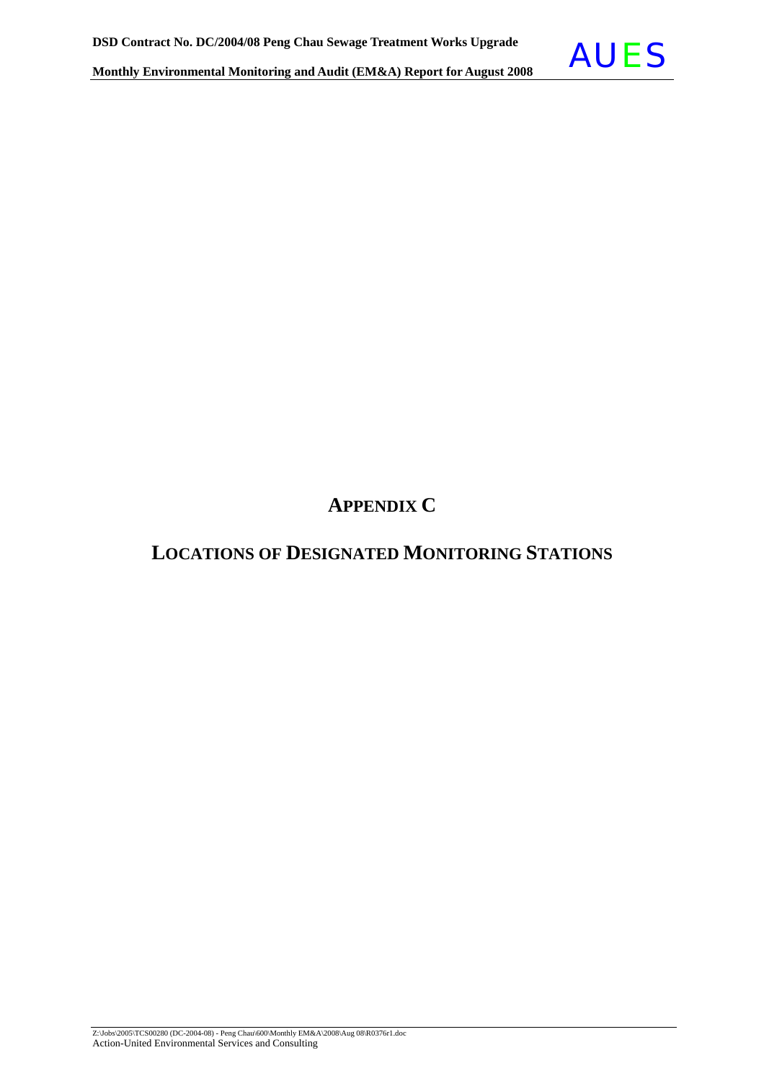

## **LOCATIONS OF DESIGNATED MONITORING STATIONS**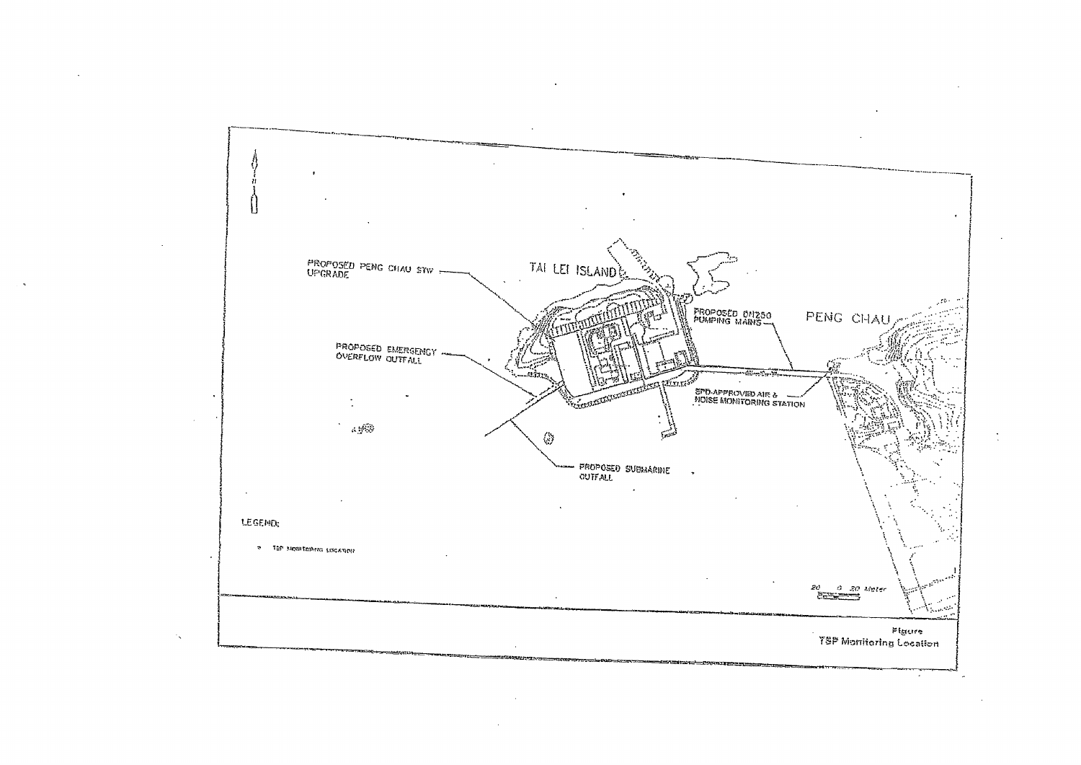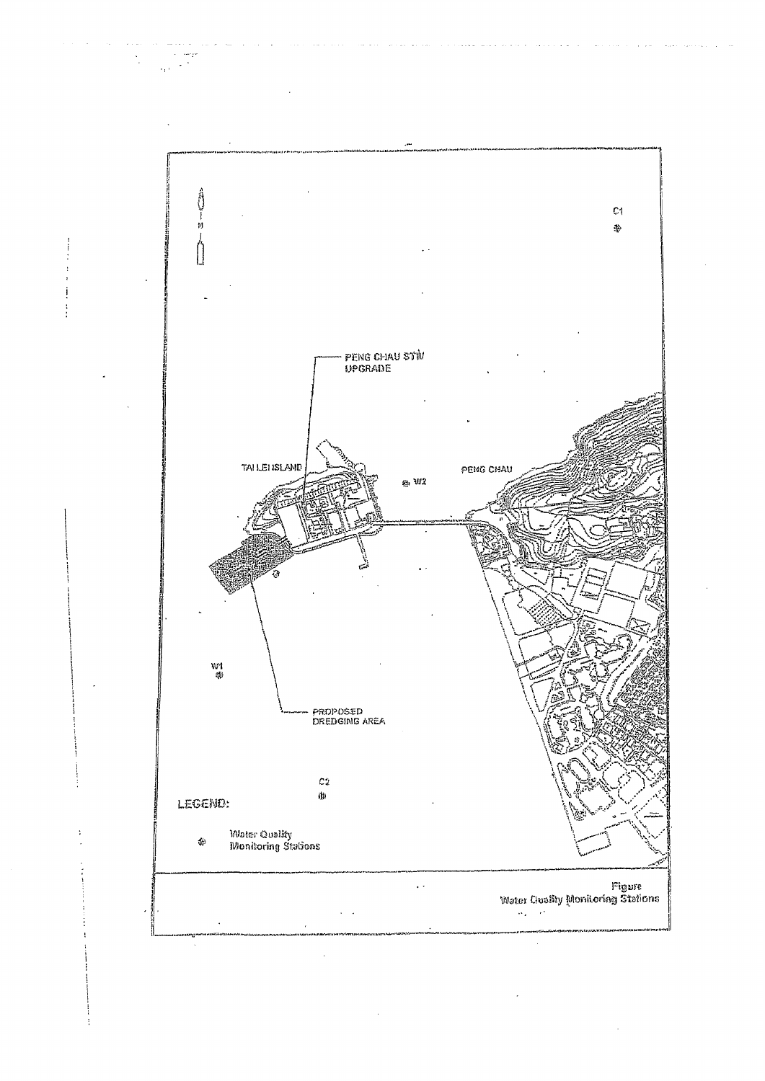

 $\sim$ i<br>San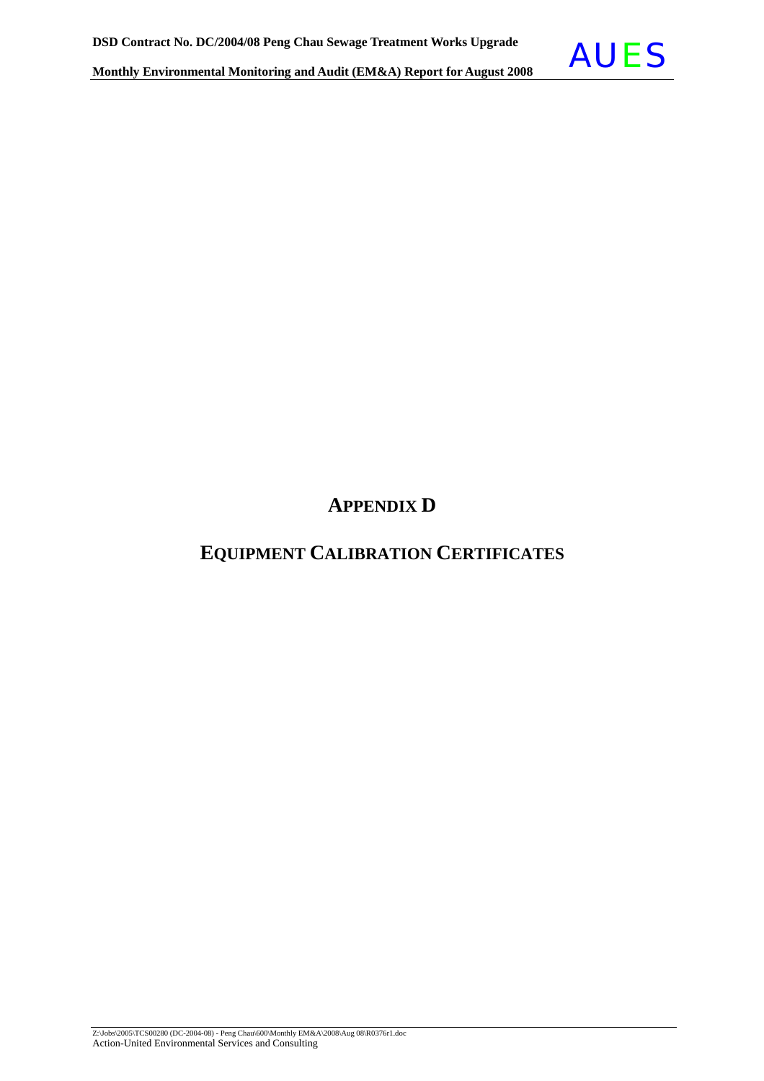

# **APPENDIX D**

# **EQUIPMENT CALIBRATION CERTIFICATES**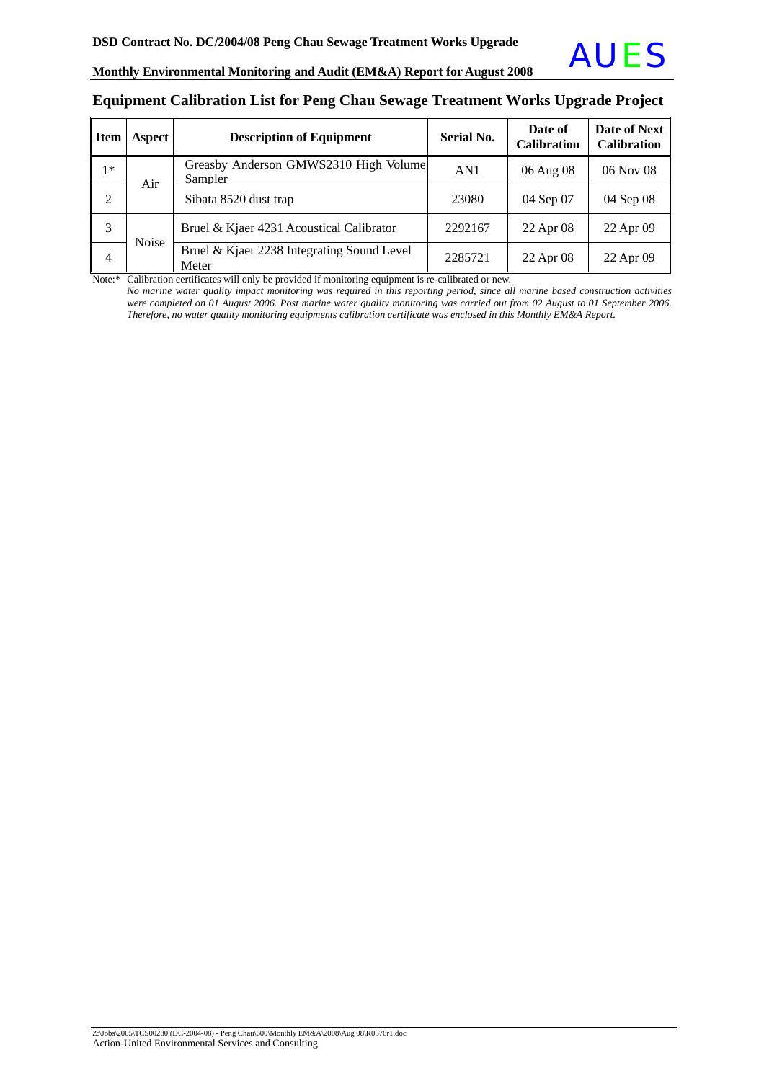### **Equipment Calibration List for Peng Chau Sewage Treatment Works Upgrade Project**

| <b>Item</b>    | Aspect | <b>Description of Equipment</b>                     | <b>Serial No.</b> | Date of<br><b>Calibration</b> | Date of Next<br><b>Calibration</b> |
|----------------|--------|-----------------------------------------------------|-------------------|-------------------------------|------------------------------------|
| $1*$           | Air    | Greasby Anderson GMWS2310 High Volume<br>Sampler    | AN1               | 06 Aug 08                     | 06 Nov 08                          |
| 2              |        | Sibata 8520 dust trap                               | 23080             | 04 Sep 07                     | 04 Sep 08                          |
| 3              |        | Bruel & Kjaer 4231 Acoustical Calibrator            | 2292167           | 22 Apr 08                     | 22 Apr 09                          |
| $\overline{4}$ | Noise  | Bruel & Kjaer 2238 Integrating Sound Level<br>Meter | 2285721           | 22 Apr 08                     | 22 Apr 09                          |

Note:\* Calibration certificates will only be provided if monitoring equipment is re-calibrated or new.

*No marine* w*ater quality impact monitoring was required in this reporting period, since all marine based construction activities were completed on 01 August 2006. Post marine water quality monitoring was carried out from 02 August to 01 September 2006. Therefore, no water quality monitoring equipments calibration certificate was enclosed in this Monthly EM&A Report.*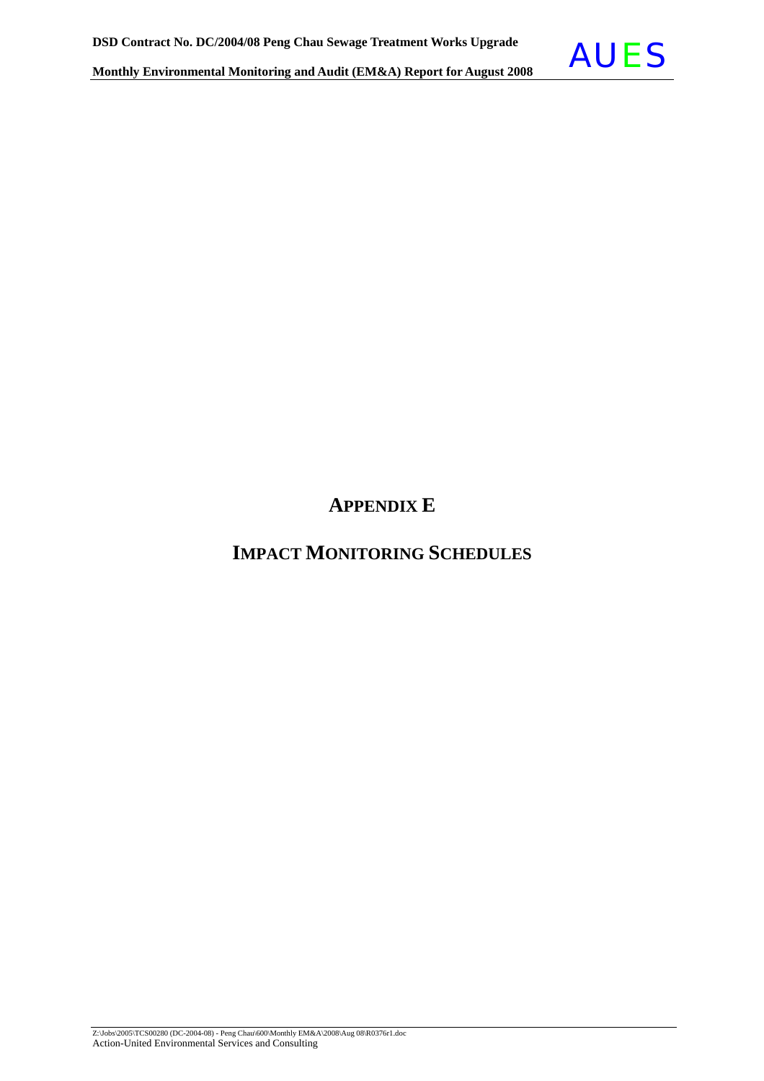

# **APPENDIX E**

# **IMPACT MONITORING SCHEDULES**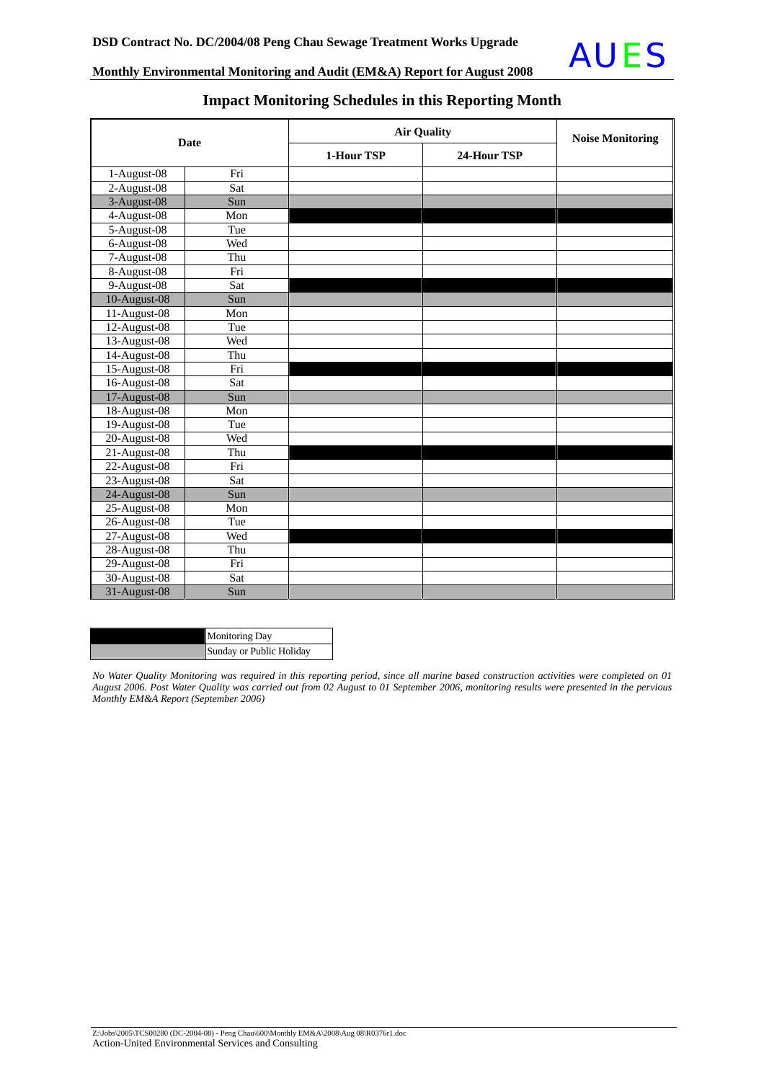

| <b>Date</b>    |     | <b>Air Quality</b> | <b>Noise Monitoring</b> |  |  |
|----------------|-----|--------------------|-------------------------|--|--|
|                |     | 1-Hour TSP         | 24-Hour TSP             |  |  |
| 1-August-08    | Fri |                    |                         |  |  |
| 2-August-08    | Sat |                    |                         |  |  |
| 3-August-08    | Sun |                    |                         |  |  |
| 4-August-08    | Mon |                    |                         |  |  |
| 5-August-08    | Tue |                    |                         |  |  |
| 6-August-08    | Wed |                    |                         |  |  |
| 7-August-08    | Thu |                    |                         |  |  |
| 8-August-08    | Fri |                    |                         |  |  |
| 9-August-08    | Sat |                    |                         |  |  |
| 10-August-08   | Sun |                    |                         |  |  |
| 11-August-08   | Mon |                    |                         |  |  |
| 12-August-08   | Tue |                    |                         |  |  |
| 13-August-08   | Wed |                    |                         |  |  |
| 14-August-08   | Thu |                    |                         |  |  |
| $15-August-08$ | Fri |                    |                         |  |  |
| 16-August-08   | Sat |                    |                         |  |  |
| 17-August-08   | Sun |                    |                         |  |  |
| 18-August-08   | Mon |                    |                         |  |  |
| 19-August-08   | Tue |                    |                         |  |  |
| 20-August-08   | Wed |                    |                         |  |  |
| $21-August-08$ | Thu |                    |                         |  |  |
| 22-August-08   | Fri |                    |                         |  |  |
| 23-August-08   | Sat |                    |                         |  |  |
| 24-August-08   | Sun |                    |                         |  |  |
| 25-August-08   | Mon |                    |                         |  |  |
| 26-August-08   | Tue |                    |                         |  |  |
| 27-August-08   | Wed |                    |                         |  |  |
| 28-August-08   | Thu |                    |                         |  |  |
| 29-August-08   | Fri |                    |                         |  |  |
| 30-August-08   | Sat |                    |                         |  |  |
| 31-August-08   | Sun |                    |                         |  |  |

### **Impact Monitoring Schedules in this Reporting Month**

| <b>Monitoring Day</b>    |
|--------------------------|
| Sunday or Public Holiday |

*No Water Quality Monitoring was required in this reporting period, since all marine based construction activities were completed on 01 August 2006. Post Water Quality was carried out from 02 August to 01 September 2006, monitoring results were presented in the pervious Monthly EM&A Report (September 2006)*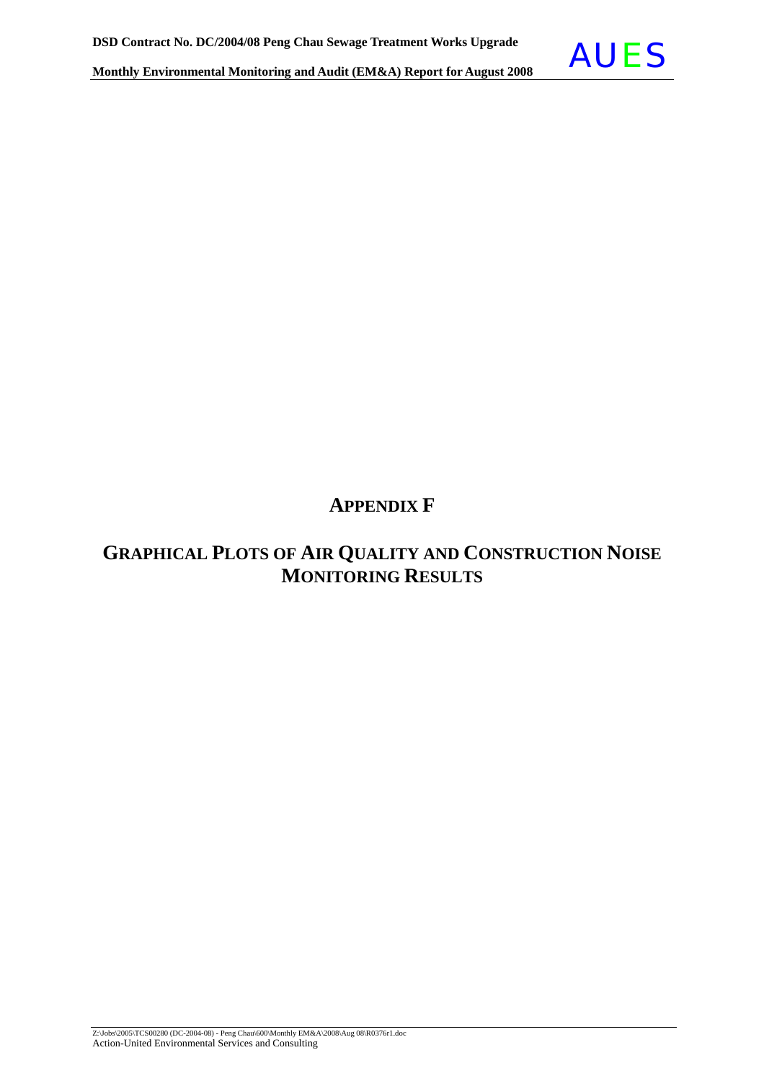

## **APPENDIX F**

# **GRAPHICAL PLOTS OF AIR QUALITY AND CONSTRUCTION NOISE MONITORING RESULTS**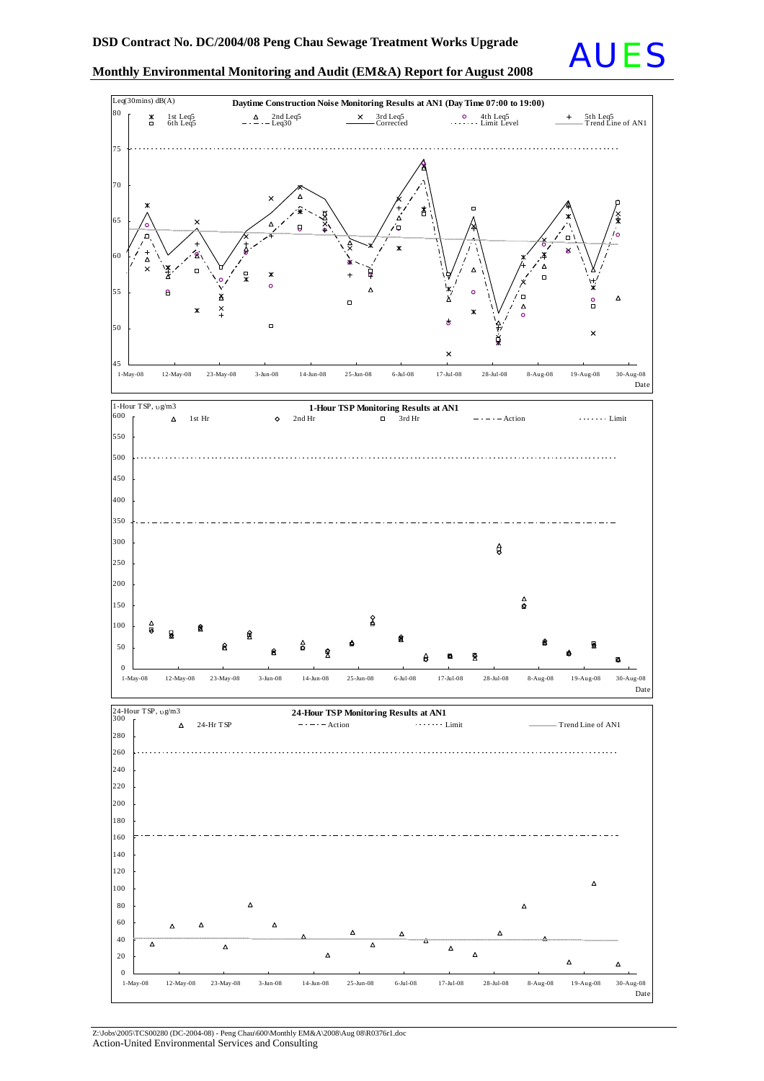





Z:\Jobs\2005\TCS00280 (DC-2004-08) - Peng Chau\600\Monthly EM&A\2008\Aug 08\R0376r1.doc Action-United Environmental Services and Consulting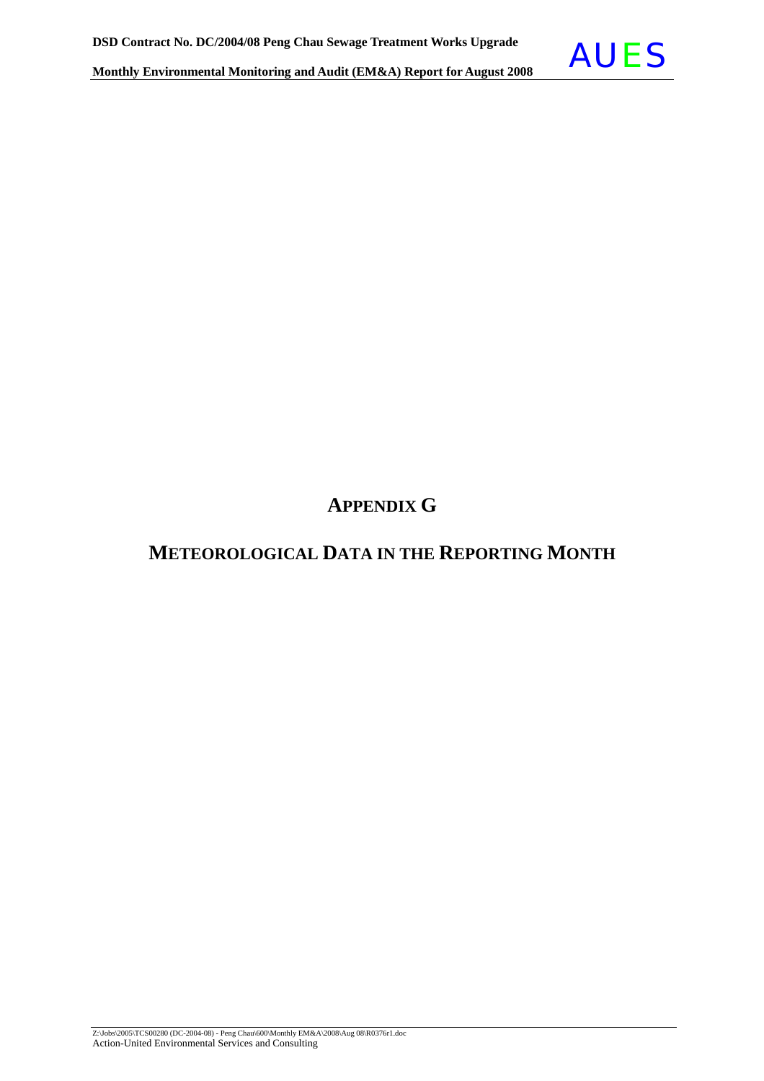

## **METEOROLOGICAL DATA IN THE REPORTING MONTH**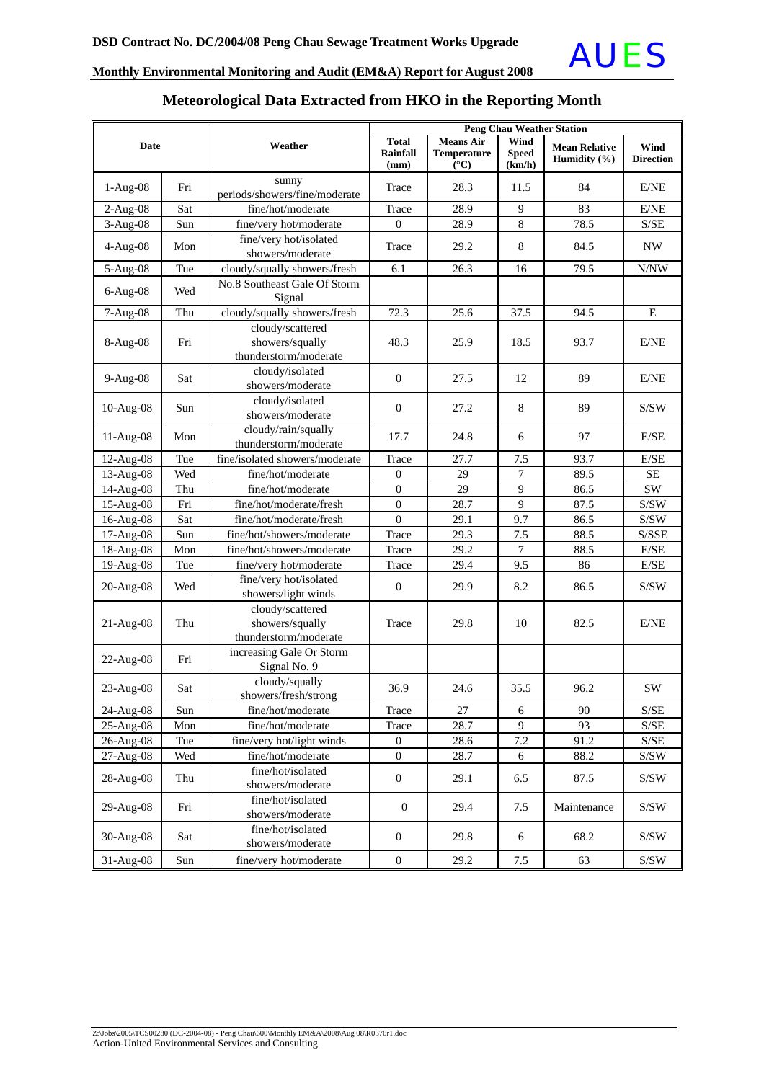

## **Meteorological Data Extracted from HKO in the Reporting Month**

| <b>Date</b> |     |                                                              | <b>Peng Chau Weather Station</b>        |                                                         |                                |                                      |                                                    |  |  |
|-------------|-----|--------------------------------------------------------------|-----------------------------------------|---------------------------------------------------------|--------------------------------|--------------------------------------|----------------------------------------------------|--|--|
|             |     | Weather                                                      | <b>Total</b><br><b>Rainfall</b><br>(mm) | <b>Means Air</b><br><b>Temperature</b><br>$(^{\circ}C)$ | Wind<br><b>Speed</b><br>(km/h) | <b>Mean Relative</b><br>Humidity (%) | Wind<br><b>Direction</b>                           |  |  |
| $1-Aug-08$  | Fri | sunny<br>periods/showers/fine/moderate                       | Trace                                   | 28.3                                                    | 11.5                           | 84                                   | E/NE                                               |  |  |
| $2-Aug-08$  | Sat | fine/hot/moderate                                            | Trace                                   | 28.9                                                    | 9                              | 83                                   | E/NE                                               |  |  |
| $3-Aug-08$  | Sun | fine/very hot/moderate                                       | $\mathbf{0}$                            | 28.9                                                    | 8                              | 78.5                                 | S/SE                                               |  |  |
| $4-Aug-08$  | Mon | fine/very hot/isolated<br>showers/moderate                   | Trace                                   | 29.2                                                    | 8                              | 84.5                                 | $\ensuremath{\text{NW}}$                           |  |  |
| 5-Aug-08    | Tue | cloudy/squally showers/fresh                                 | 6.1                                     | 26.3                                                    | 16                             | 79.5                                 | N/NW                                               |  |  |
| $6-Aug-08$  | Wed | No.8 Southeast Gale Of Storm<br>Signal                       |                                         |                                                         |                                |                                      |                                                    |  |  |
| $7-Aug-08$  | Thu | cloudy/squally showers/fresh                                 | 72.3                                    | 25.6                                                    | 37.5                           | 94.5                                 | ${\bf E}$                                          |  |  |
| 8-Aug-08    | Fri | cloudy/scattered<br>showers/squally<br>thunderstorm/moderate | 48.3                                    | 25.9                                                    | 18.5                           | 93.7                                 | E/NE                                               |  |  |
| 9-Aug-08    | Sat | cloudy/isolated<br>showers/moderate                          | $\mathbf{0}$                            | 27.5                                                    | 12                             | 89                                   | E/NE                                               |  |  |
| 10-Aug-08   | Sun | cloudy/isolated<br>showers/moderate                          | $\mathbf{0}$                            | 27.2                                                    | 8                              | 89                                   | S/SW                                               |  |  |
| 11-Aug-08   | Mon | cloudy/rain/squally<br>thunderstorm/moderate                 | 17.7                                    | 24.8                                                    | 6                              | 97                                   | E/SE                                               |  |  |
| $12-Aug-08$ | Tue | fine/isolated showers/moderate                               | Trace                                   | 27.7                                                    | 7.5                            | 93.7                                 | E/SE                                               |  |  |
| 13-Aug-08   | Wed | fine/hot/moderate                                            | $\boldsymbol{0}$                        | 29                                                      | 7                              | 89.5                                 | SE                                                 |  |  |
| 14-Aug-08   | Thu | fine/hot/moderate                                            | $\boldsymbol{0}$                        | 29                                                      | 9                              | 86.5                                 | SW                                                 |  |  |
| 15-Aug-08   | Fri | fine/hot/moderate/fresh                                      | $\mathbf{0}$                            | 28.7                                                    | 9                              | 87.5                                 | S/SW                                               |  |  |
| 16-Aug-08   | Sat | fine/hot/moderate/fresh                                      | $\theta$                                | 29.1                                                    | 9.7                            | 86.5                                 | S/SW                                               |  |  |
| 17-Aug-08   | Sun | fine/hot/showers/moderate                                    | Trace                                   | 29.3                                                    | 7.5                            | 88.5                                 | S/SSE                                              |  |  |
| 18-Aug-08   | Mon | fine/hot/showers/moderate                                    | Trace                                   | 29.2                                                    | 7                              | 88.5                                 | $\rm E/SE$                                         |  |  |
| 19-Aug-08   | Tue | fine/very hot/moderate                                       | Trace                                   | 29.4                                                    | 9.5                            | 86                                   | E/SE                                               |  |  |
| 20-Aug-08   | Wed | fine/very hot/isolated<br>showers/light winds                | $\mathbf{0}$                            | 29.9                                                    | 8.2                            | 86.5                                 | S/SW                                               |  |  |
| $21-Aug-08$ | Thu | cloudy/scattered<br>showers/squally<br>thunderstorm/moderate | Trace                                   | 29.8                                                    | 10                             | 82.5                                 | E/NE                                               |  |  |
| 22-Aug-08   | Fri | increasing Gale Or Storm<br>Signal No. 9                     |                                         |                                                         |                                |                                      |                                                    |  |  |
| 23-Aug-08   | Sat | cloudy/squally<br>showers/fresh/strong                       | 36.9                                    | 24.6                                                    | 35.5                           | 96.2                                 | <b>SW</b>                                          |  |  |
| 24-Aug-08   | Sun | fine/hot/moderate                                            | Trace                                   | 27                                                      | 6                              | 90                                   | $\ensuremath{\mathrm{S}}/\ensuremath{\mathrm{SE}}$ |  |  |
| 25-Aug-08   | Mon | fine/hot/moderate                                            | Trace                                   | 28.7                                                    | 9                              | 93                                   | S/SE                                               |  |  |
| 26-Aug-08   | Tue | fine/very hot/light winds                                    | $\mathbf{0}$                            | 28.6                                                    | 7.2                            | 91.2                                 | S/SE                                               |  |  |
| 27-Aug-08   | Wed | fine/hot/moderate                                            | $\boldsymbol{0}$                        | 28.7                                                    | 6                              | 88.2                                 | $\mathrm{S/SW}$                                    |  |  |
| 28-Aug-08   | Thu | fine/hot/isolated<br>showers/moderate                        | $\boldsymbol{0}$                        | 29.1                                                    | 6.5                            | 87.5                                 | S/SW                                               |  |  |
| 29-Aug-08   | Fri | fine/hot/isolated<br>showers/moderate                        | $\mathbf{0}$                            | 29.4                                                    | 7.5                            | Maintenance                          | S/SW                                               |  |  |
| 30-Aug-08   | Sat | fine/hot/isolated<br>showers/moderate                        | $\mathbf{0}$                            | 29.8                                                    | 6                              | 68.2                                 | S/SW                                               |  |  |
| 31-Aug-08   | Sun | fine/very hot/moderate                                       | $\boldsymbol{0}$                        | 29.2                                                    | 7.5                            | 63                                   | S/SW                                               |  |  |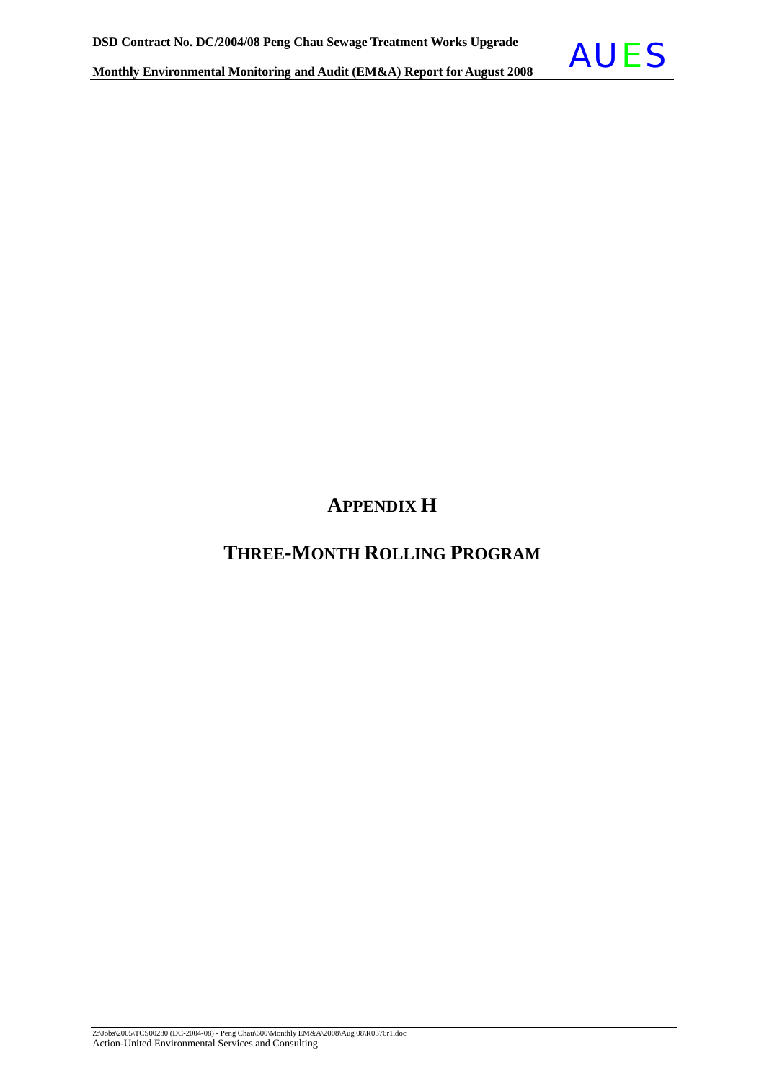

# **APPENDIX H**

# **THREE-MONTH ROLLING PROGRAM**